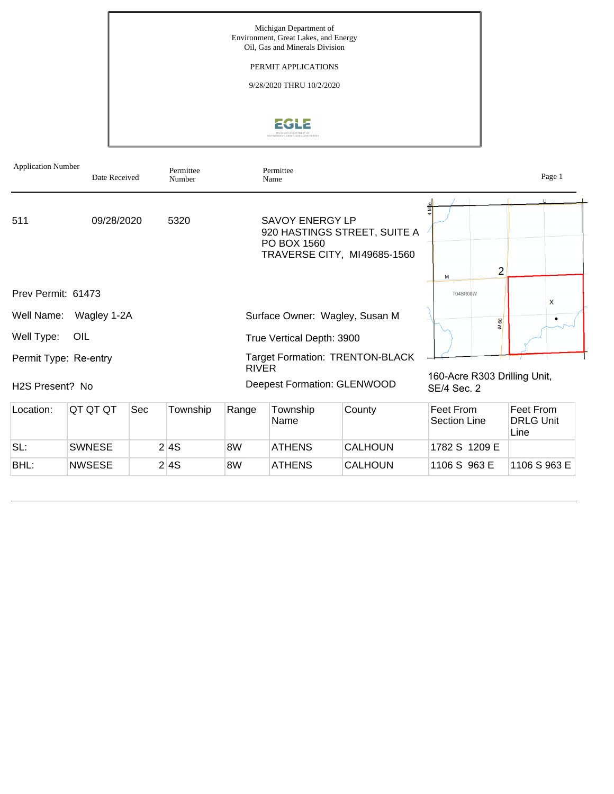

| <b>Application Number</b> | Date Received |     | Permittee<br>Number |              | Permittee<br>Name                     |                                                             |                                             | Page 1                                |
|---------------------------|---------------|-----|---------------------|--------------|---------------------------------------|-------------------------------------------------------------|---------------------------------------------|---------------------------------------|
| 511                       | 09/28/2020    |     | 5320                |              | <b>SAVOY ENERGY LP</b><br>PO BOX 1560 | 920 HASTINGS STREET, SUITE A<br>TRAVERSE CITY, MI49685-1560 | $\overline{2}$<br>M                         |                                       |
| Prev Permit: 61473        |               |     |                     |              |                                       |                                                             | <b>T04SR08W</b>                             | X                                     |
| Well Name:                | Wagley 1-2A   |     |                     |              |                                       | Surface Owner: Wagley, Susan M                              | 66                                          |                                       |
| Well Type:                | OIL           |     |                     |              | True Vertical Depth: 3900             |                                                             |                                             |                                       |
| Permit Type: Re-entry     |               |     |                     | <b>RIVER</b> |                                       | <b>Target Formation: TRENTON-BLACK</b>                      |                                             |                                       |
| H2S Present? No           |               |     |                     |              |                                       | <b>Deepest Formation: GLENWOOD</b>                          | 160-Acre R303 Drilling Unit,<br>SE/4 Sec. 2 |                                       |
| Location:                 | QT QT QT      | Sec | Township            | Range        | Township<br>Name                      | County                                                      | Feet From<br><b>Section Line</b>            | Feet From<br><b>DRLG Unit</b><br>Line |
| SL:                       | <b>SWNESE</b> |     | 2 4S                | 8W           | <b>ATHENS</b>                         | <b>CALHOUN</b>                                              | 1782 S 1209 E                               |                                       |
| BHL:                      | <b>NWSESE</b> |     | 2 4S                | 8W           | ATHENS                                | <b>CALHOUN</b>                                              | 1106 S 963 E                                | 1106 S 963 E                          |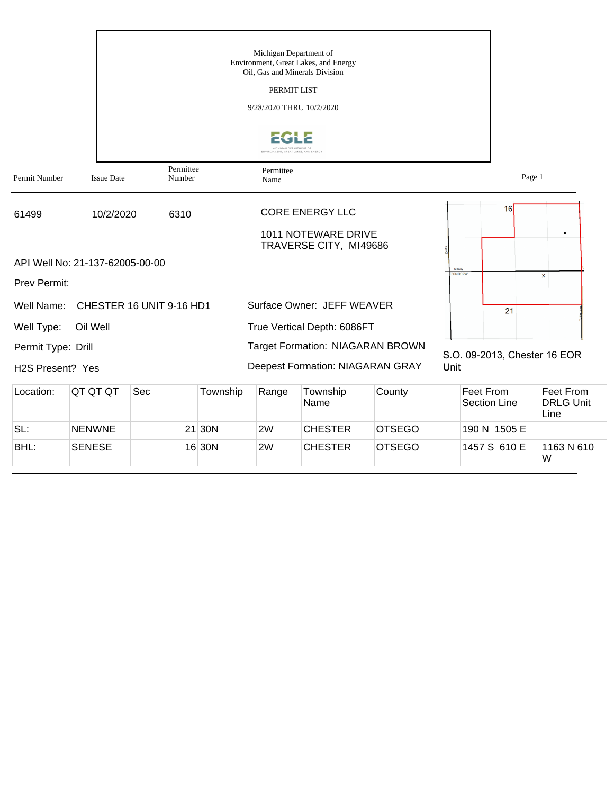|                    |                                 |                          |          | Michigan Department of   | Environment, Great Lakes, and Energy<br>Oil, Gas and Minerals Division |               |                  |                                  |                                       |
|--------------------|---------------------------------|--------------------------|----------|--------------------------|------------------------------------------------------------------------|---------------|------------------|----------------------------------|---------------------------------------|
|                    |                                 |                          |          | PERMIT LIST              |                                                                        |               |                  |                                  |                                       |
|                    |                                 |                          |          | 9/28/2020 THRU 10/2/2020 |                                                                        |               |                  |                                  |                                       |
|                    |                                 |                          |          | AN DEPARTMENT            |                                                                        |               |                  |                                  |                                       |
| Permit Number      | <b>Issue Date</b>               | Permittee<br>Number      |          | Permittee<br>Name        |                                                                        |               |                  | Page 1                           |                                       |
| 61499              | 10/2/2020                       | 6310                     |          |                          | <b>CORE ENERGY LLC</b>                                                 |               |                  | 16                               |                                       |
|                    |                                 |                          |          |                          | 1011 NOTEWARE DRIVE                                                    |               |                  |                                  |                                       |
|                    |                                 |                          |          |                          | TRAVERSE CITY, MI49686                                                 |               |                  |                                  |                                       |
|                    | API Well No: 21-137-62005-00-00 |                          |          |                          |                                                                        |               | McCoy<br>30NR02W |                                  | $\mathsf{x}$                          |
| Prev Permit:       |                                 |                          |          |                          |                                                                        |               |                  |                                  |                                       |
| Well Name:         |                                 | CHESTER 16 UNIT 9-16 HD1 |          |                          | Surface Owner: JEFF WEAVER                                             |               |                  | 21                               |                                       |
| Well Type:         | Oil Well                        |                          |          |                          | True Vertical Depth: 6086FT                                            |               |                  |                                  |                                       |
| Permit Type: Drill |                                 |                          |          |                          | <b>Target Formation: NIAGARAN BROWN</b>                                |               |                  |                                  |                                       |
| H2S Present? Yes   |                                 |                          |          |                          | <b>Deepest Formation: NIAGARAN GRAY</b>                                |               | Unit             | S.O. 09-2013, Chester 16 EOR     |                                       |
| Location:          | QT QT QT                        | Sec                      | Township | Range                    | Township<br>Name                                                       | County        |                  | Feet From<br><b>Section Line</b> | Feet From<br><b>DRLG Unit</b><br>Line |
| SL:                | <b>NENWNE</b>                   |                          | $21$ 30N | 2W                       | <b>CHESTER</b>                                                         | <b>OTSEGO</b> |                  | 190 N 1505 E                     |                                       |
| BHL:               | <b>SENESE</b>                   |                          | 16 30N   | 2W                       | <b>CHESTER</b>                                                         | <b>OTSEGO</b> |                  | 1457 S 610 E                     | 1163 N 610<br>W                       |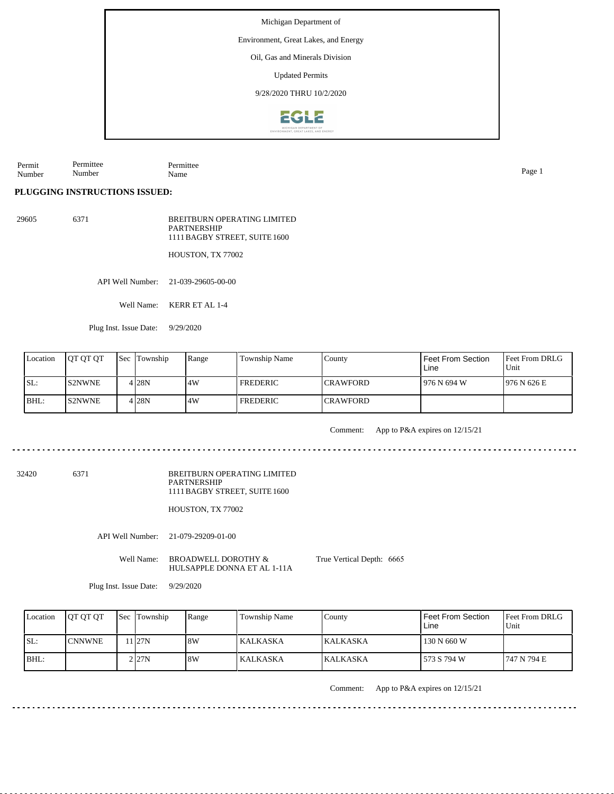Environment, Great Lakes, and Energy

Oil, Gas and Minerals Division

Updated Permits

9/28/2020 THRU 10/2/2020



Permit Number Permittee Number Permittee Name Page 1

**PLUGGING INSTRUCTIONS ISSUED:**

29605 6371

BREITBURN OPERATING LIMITED PARTNERSHIP 1111 BAGBY STREET, SUITE 1600

HOUSTON, TX 77002

API Well Number: 21-039-29605-00-00

Well Name: KERR ET AL 1-4

Plug Inst. Issue Date: 9/29/2020

| Location | <b>IOT OT OT</b> | <b>Sec Township</b> | Range | Township Name   | County           | Feet From Section<br>Line | <b>IFeet From DRLG</b><br>Unit |
|----------|------------------|---------------------|-------|-----------------|------------------|---------------------------|--------------------------------|
| ISL:     | IS2NWNE.         | 4 28 N              | 4W    | <b>FREDERIC</b> | <b>ICRAWFORD</b> | l 976 N 694 W             | 1976 N 626 E                   |
| BHL:     | <b>S2NWNE</b>    | 4 28 N              | 4W    | <b>FREDERIC</b> | <b>CRAWFORD</b>  |                           |                                |

Comment: App to P&A expires on 12/15/21

<u>. . . . . . . . . . . . . . .</u>

32420 6371

BREITBURN OPERATING LIMITED PARTNERSHIP 1111 BAGBY STREET, SUITE 1600

HOUSTON, TX 77002

API Well Number: 21-079-29209-01-00

Well Name: BROADWELL DOROTHY & HULSAPPLE DONNA ET AL 1-11A True Vertical Depth: 6665

Plug Inst. Issue Date: 9/29/2020

| Location | <b>IOT OT OT</b> | <b>Sec</b> Township | Range | <b>Township Name</b> | County           | Feet From Section<br>Line | <b>Feet From DRLG</b><br>Unit |
|----------|------------------|---------------------|-------|----------------------|------------------|---------------------------|-------------------------------|
| SL:      | <b>CNNWNE</b>    | 1 27N               | 8W    | l KALKASKA           | <b>IKALKASKA</b> | 130 N 660 W               |                               |
| $IBHL$ : |                  | 2 I27N              | 8W    | <b>KALKASKA</b>      | <b>KALKASKA</b>  | 573 S 794 W               | 747 N 794 E                   |

Comment: App to P&A expires on 12/15/21

Michigan Department of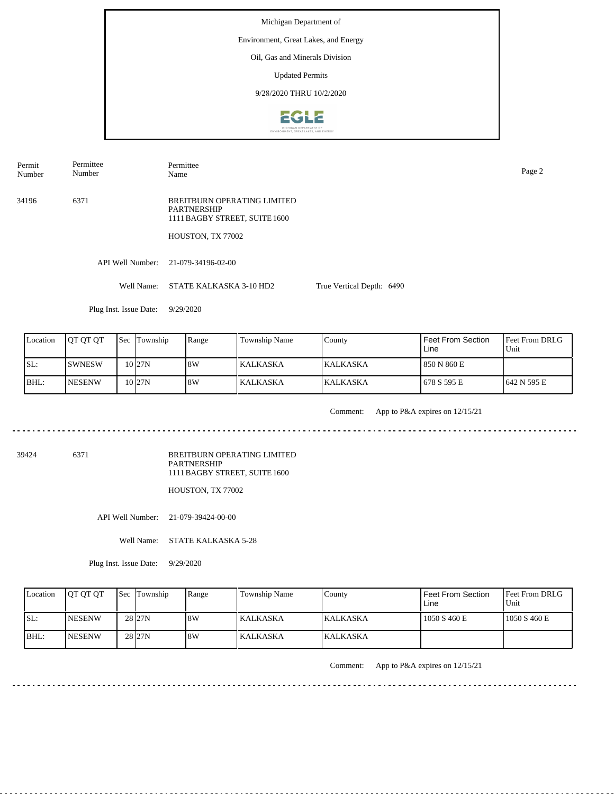Permit Number Permittee Number

Permittee Name Page 2

34196 6371 BREITBURN OPERATING LIMITED PARTNERSHIP 1111 BAGBY STREET, SUITE 1600

HOUSTON, TX 77002

API Well Number: 21-079-34196-02-00

Well Name: STATE KALKASKA 3-10 HD2 True Vertical Depth: 6490

Plug Inst. Issue Date: 9/29/2020

| Location | <b>IOT OT OT</b> | <b>Sec Township</b> | Range | Township Name | County           | <b>Feet From Section</b><br>Line | <b>Feet From DRLG</b><br>Unit |
|----------|------------------|---------------------|-------|---------------|------------------|----------------------------------|-------------------------------|
| ISL:     | <b>ISWNESW</b>   | 10 <sub>27N</sub>   | 8W    | KALKASKA      | <b>IKALKASKA</b> | 850 N 860 E                      |                               |
| BHL:     | <b>INESENW</b>   | 10 <sub>27N</sub>   | 8W    | KALKASKA      | <b>KALKASKA</b>  | 1678 S 595 E                     | 1642 N 595 E                  |

<u>. . . . . . . . . .</u>

Comment: App to P&A expires on 12/15/21

39424 6371

BREITBURN OPERATING LIMITED PARTNERSHIP 1111 BAGBY STREET, SUITE 1600

HOUSTON, TX 77002

API Well Number: 21-079-39424-00-00

Well Name: STATE KALKASKA 5-28

Plug Inst. Issue Date: 9/29/2020

| Location | <b>IOT OT OT</b> | <b>Sec Township</b> | Range | <b>Township Name</b> | County          | l Feet From Section<br>Line | <b>Feet From DRLG</b><br>Unit |
|----------|------------------|---------------------|-------|----------------------|-----------------|-----------------------------|-------------------------------|
| ISL:     | <b>NESENW</b>    | 28 <sub>127N</sub>  | 8W    | l KALKASKA           | <b>KALKASKA</b> | 1050 S 460 E                | 1050 S 460 E                  |
| IBHL:    | <b>INESENW</b>   | 28 <sub>27N</sub>   | 8W    | KALKASKA             | <b>KALKASKA</b> |                             |                               |

Comment: App to P&A expires on 12/15/21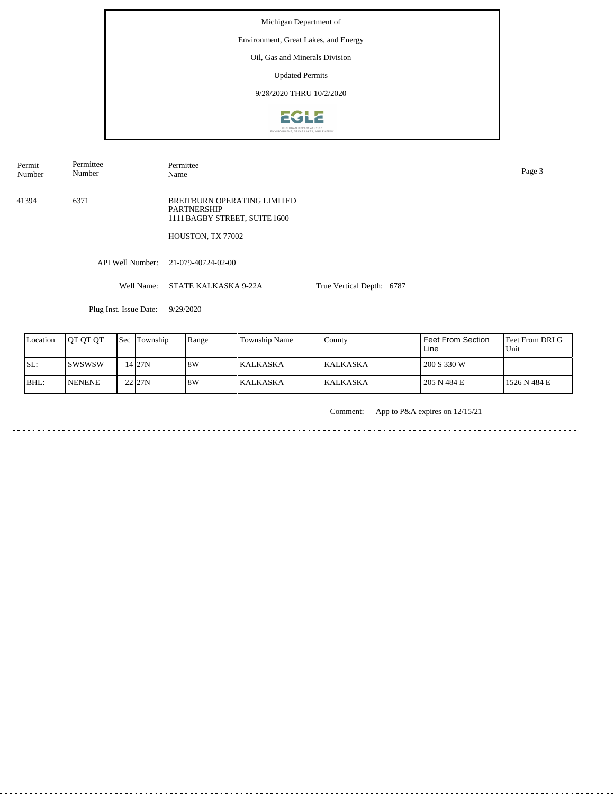Permit Number Permittee Number

Permittee Name Page 3

41394 6371 BREITBURN OPERATING LIMITED PARTNERSHIP 1111 BAGBY STREET, SUITE 1600

HOUSTON, TX 77002

API Well Number: 21-079-40724-02-00

Well Name: STATE KALKASKA 9-22A True Vertical Depth: 6787

Plug Inst. Issue Date: 9/29/2020

| Location | <b>IOT OT OT</b> | <b>Sec Township</b> | Range | Township Name | County           | Feet From Section<br>Line | <b>IFeet From DRLG</b><br>l Unit |
|----------|------------------|---------------------|-------|---------------|------------------|---------------------------|----------------------------------|
| SL:      | ISWSWSW          | 14 27 N             | 18W   | l KALKASKA.   | <b>IKALKASKA</b> | 200 S 330 W               |                                  |
| BHL:     | <b>NENENE</b>    | 22 27N              | 18W   | KALKASKA      | <b>KALKASKA</b>  | 205 N 484 E               | 1526 N 484 E                     |

Comment: App to P&A expires on 12/15/21

in a dia a dia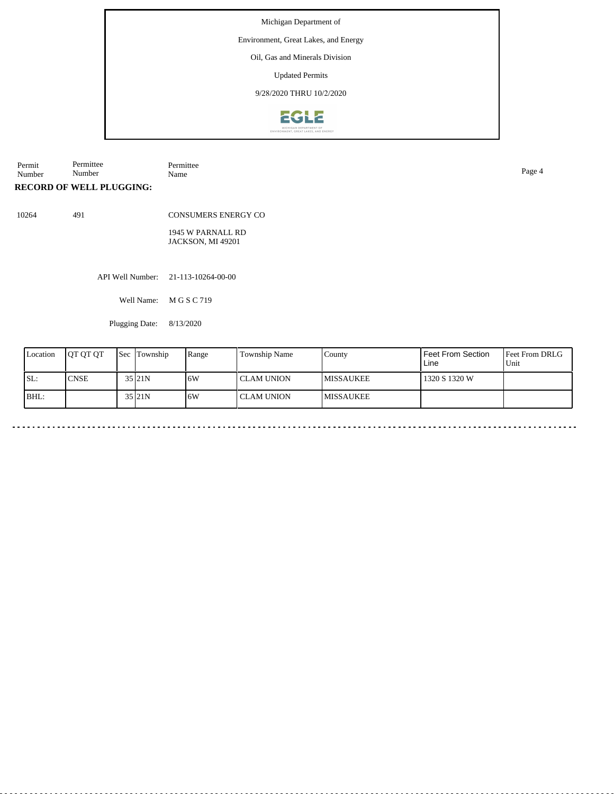#### Environment, Great Lakes, and Energy

Oil, Gas and Minerals Division

Updated Permits

9/28/2020 THRU 10/2/2020



| Permit | Permittee              | -<br>Permittee |      |
|--------|------------------------|----------------|------|
| Number | $\mathbf{r}$<br>Number | Name           | Page |
|        |                        |                |      |

#### **RECORD OF WELL PLUGGING:**

10264 491

CONSUMERS ENERGY CO

1945 W PARNALL RD JACKSON, MI 49201

API Well Number: 21-113-10264-00-00

Well Name: M G S C 719

Plugging Date: 8/13/2020

| Location | <b>IOT OT OT</b> | <b>Sec</b> Township | Range | Township Name | County            | l Feet From Section<br>Line | Feet From DRLG<br>Unit |
|----------|------------------|---------------------|-------|---------------|-------------------|-----------------------------|------------------------|
| SL:      | <b>CNSE</b>      | 35 21N              | 16W   | I CLAM UNION  | <b>IMISSAUKEE</b> | 1320 S 1320 W               |                        |
| BHL:     |                  | 35 21N              | 6W    | I CLAM UNION  | <b>IMISSAUKEE</b> |                             |                        |

 $\ddot{\phantom{1}}$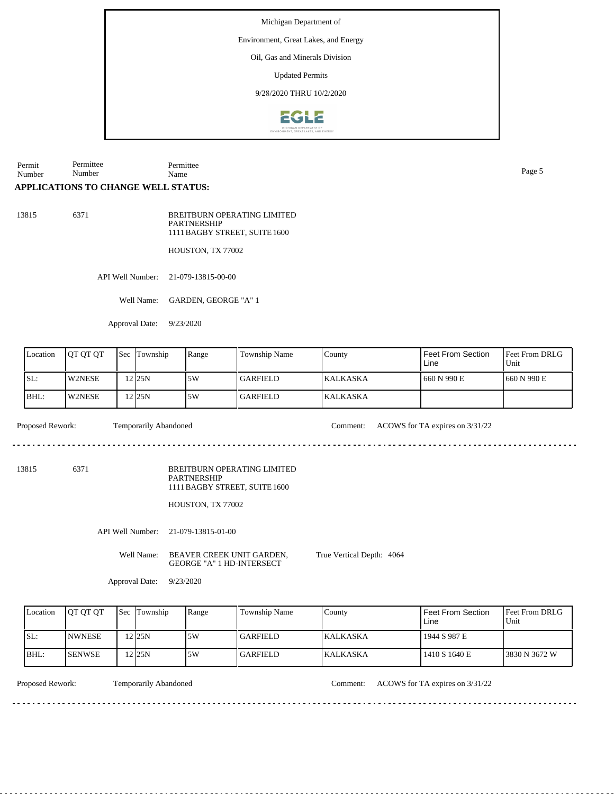Environment, Great Lakes, and Energy

Oil, Gas and Minerals Division

Updated Permits

9/28/2020 THRU 10/2/2020



Permit Number Permittee Number Permittee Name Page 5

#### **APPLICATIONS TO CHANGE WELL STATUS:**

13815 6371

BREITBURN OPERATING LIMITED PARTNERSHIP 1111 BAGBY STREET, SUITE 1600

HOUSTON, TX 77002

API Well Number: 21-079-13815-00-00

Well Name: GARDEN, GEORGE "A" 1

Approval Date: 9/23/2020

| Location | <b>IOT OT OT</b> | 'Sec | Township | Range | <b>Township Name</b> | County          | l Feet From Section<br>Line | <b>Feet From DRLG</b><br>Unit |
|----------|------------------|------|----------|-------|----------------------|-----------------|-----------------------------|-------------------------------|
| ISL:     | W2NESE           |      | $2$ 25N  | 5W    | l GARFIELD -         | <b>KALKASKA</b> | 1660 N 990 E                | 1660 N 990 E                  |
| IBHL:    | <b>IW2NESE</b>   |      | 12 I25N  | 5W    | <b>GARFIELD</b>      | <b>KALKASKA</b> |                             |                               |

dia a a a

Proposed Rework: Temporarily Abandoned Comment: ACOWS for TA expires on 3/31/22

<u>o dia alala a</u>

13815 6371

BREITBURN OPERATING LIMITED PARTNERSHIP 1111 BAGBY STREET, SUITE 1600

HOUSTON, TX 77002

API Well Number: 21-079-13815-01-00

Well Name: BEAVER CREEK UNIT GARDEN, GEORGE "A" 1 HD-INTERSECT

True Vertical Depth: 4064

Approval Date: 9/23/2020

| Location | <b>IOT OT OT</b> | <b>Sec</b> Township | Range | Township Name   | County          | Feet From Section<br>Line | <b>IFeet From DRLG</b><br>Unit |
|----------|------------------|---------------------|-------|-----------------|-----------------|---------------------------|--------------------------------|
| ISL:     | <b>INWNESE</b>   | 225N                | ا 5W  | <b>GARFIELD</b> | IKALKASKA       | 1944 S 987 E              |                                |
| BHL:     | <b>ISENWSE</b>   | 12 25 N             | 5W    | <b>GARFIELD</b> | <b>KALKASKA</b> | 1410 S 1640 E             | 13830 N 3672 W                 |

Temporarily Abandoned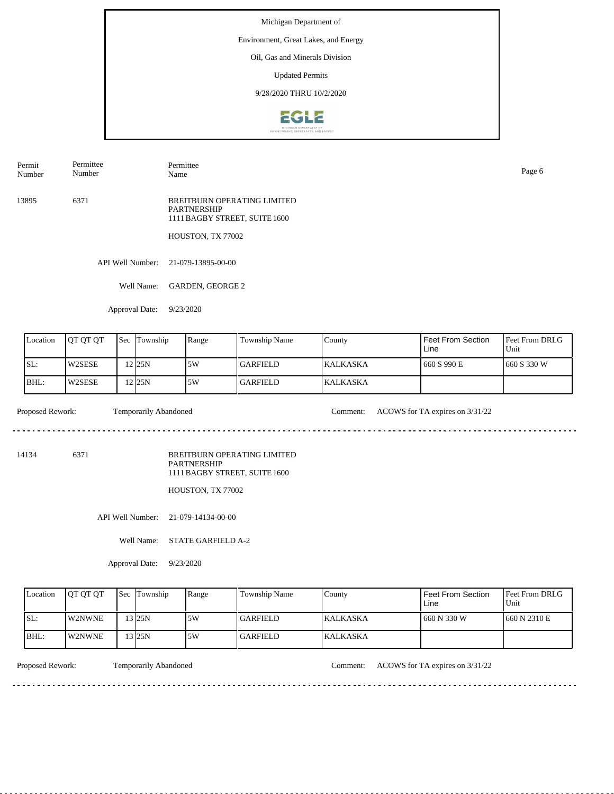# Environment, Great Lakes, and Energy

Oil, Gas and Minerals Division

Updated Permits

9/28/2020 THRU 10/2/2020



Permit Number Permittee Number

Name Page 6

Permittee

13895 6371 BREITBURN OPERATING LIMITED PARTNERSHIP 1111 BAGBY STREET, SUITE 1600

HOUSTON, TX 77002

API Well Number: 21-079-13895-00-00

Well Name: GARDEN, GEORGE 2

Approval Date: 9/23/2020

| Location | <b>JOT OT OT</b> | 'Sec | Township | Range | Township Name   | County           | Feet From Section<br>Line | <b>IFeet From DRLG</b><br>Unit |
|----------|------------------|------|----------|-------|-----------------|------------------|---------------------------|--------------------------------|
| SL:      | W2SESE           |      | 2 25N    | 5W    | l GARFIELD      | <b>IKALKASKA</b> | 660 S 990 E               | 1660 S 330 W                   |
| BHL:     | W2SESE           |      | 12 25 N  | .5W   | <b>GARFIELD</b> | <b>KALKASKA</b>  |                           |                                |

 $- - - - - -$ 

Proposed Rework: Temporarily Abandoned Comment: ACOWS for TA expires on  $3/31/22$ 

. . . . . . . . . . . . . . . . . . . .

14134 6371

BREITBURN OPERATING LIMITED PARTNERSHIP 1111 BAGBY STREET, SUITE 1600

HOUSTON, TX 77002

API Well Number: 21-079-14134-00-00

Well Name: STATE GARFIELD A-2

Approval Date: 9/23/2020

| Location | <b>OT OT OT</b> | <b>Sec Township</b> | Range | <b>Township Name</b> | County           | Feet From Section<br>∟ine | <b>Feet From DRLG</b><br>Unit |
|----------|-----------------|---------------------|-------|----------------------|------------------|---------------------------|-------------------------------|
| ISL:     | <b>W2NWNE</b>   | $3$ 25N             | 5W    | GARFIELD_            | <b>IKALKASKA</b> | 660 N 330 W               | 1660 N 2310 E                 |
| BHL:     | W2NWNE          | 13 25N              | .5W   | GARFIELD_            | <b>KALKASKA</b>  |                           |                               |

<u>. . . . . . . .</u>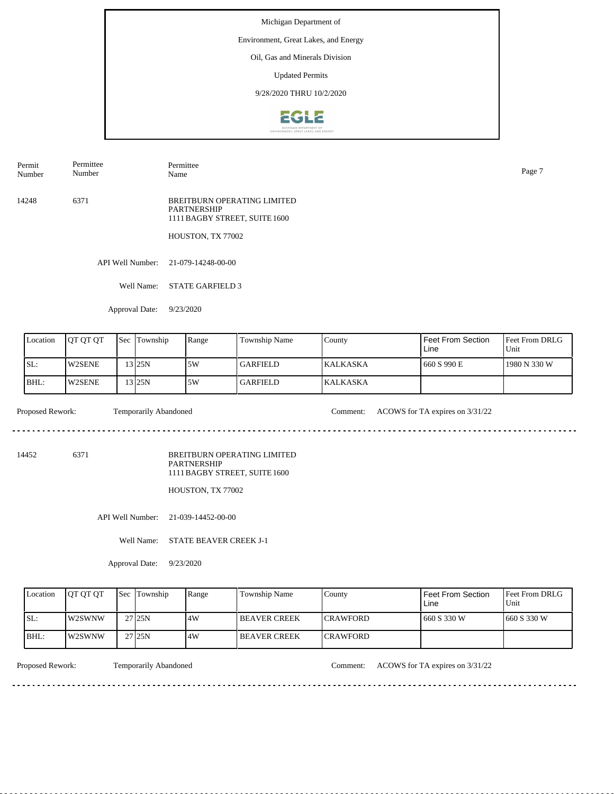# Environment, Great Lakes, and Energy

Oil, Gas and Minerals Division

Updated Permits

9/28/2020 THRU 10/2/2020



Name Page 7

Permit Number Permittee Number

14248 6371 BREITBURN OPERATING LIMITED PARTNERSHIP

1111 BAGBY STREET, SUITE 1600

HOUSTON, TX 77002

API Well Number: 21-079-14248-00-00

Well Name: STATE GARFIELD 3

Permittee

Approval Date: 9/23/2020

| Location | <b>IOT OT OT</b> | $\text{Sec}$ | Township | Range | <b>Township Name</b> | County          | Feet From Section<br>Line | <b>IFeet From DRLG</b><br>Unit |
|----------|------------------|--------------|----------|-------|----------------------|-----------------|---------------------------|--------------------------------|
| SL:      | <b>W2SENE</b>    |              | 13 I25N  | 5W    | l GARFIELD-          | <b>KALKASKA</b> | 660 S 990 E               | 1980 N 330 W                   |
| BHL:     | <b>W2SENE</b>    |              | 13 I25N  | 5W    | <b>GARFIELD</b>      | <b>KALKASKA</b> |                           |                                |

Proposed Rework: Temporarily Abandoned Comment: ACOWS for TA expires on  $3/31/22$ 

 $\mathcal{L}^{\mathcal{L}}\left( \mathcal{L}^{\mathcal{L}}\left( \mathcal{L}^{\mathcal{L}}\right) \right) =\mathcal{L}^{\mathcal{L}}\left( \mathcal{L}^{\mathcal{L}}\right)$ 

<u>. . . . . . . . . . .</u>

14452 6371

BREITBURN OPERATING LIMITED PARTNERSHIP 1111 BAGBY STREET, SUITE 1600

HOUSTON, TX 77002

API Well Number: 21-039-14452-00-00

Well Name: STATE BEAVER CREEK J-1

Approval Date: 9/23/2020

| Location | <b>IOT OT OT</b> | <b>Sec Township</b> | Range | Township Name        | County           | Feet From Section<br>Line | <b>Feet From DRLG</b><br>Unit |
|----------|------------------|---------------------|-------|----------------------|------------------|---------------------------|-------------------------------|
| ISL:     | <b>IW2SWNW</b>   | 27 25N              | 4W    | <b>IBEAVER CREEK</b> | <b>ICRAWFORD</b> | 1660 S 330 W              | 1660 S 330 W                  |
| IBHL:    | IW2SWNW          | 27 <sub>125N</sub>  | 4W    | I BEAVER CREEK       | <b>ICRAWFORD</b> |                           |                               |

<u>. . . . . . . .</u>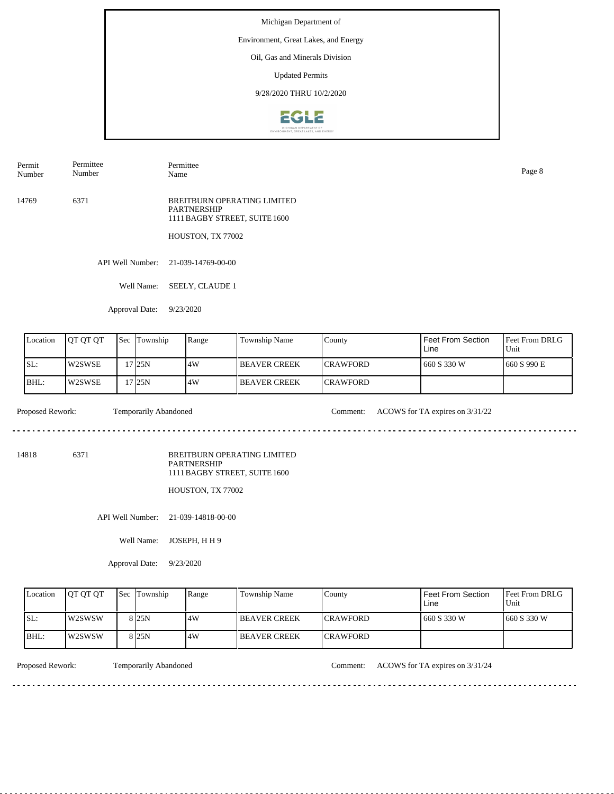# Environment, Great Lakes, and Energy

Oil, Gas and Minerals Division

Updated Permits

9/28/2020 THRU 10/2/2020



Permit Number Permittee Number

14769 6371

Name Page 8

Permittee

BREITBURN OPERATING LIMITED PARTNERSHIP 1111 BAGBY STREET, SUITE 1600

HOUSTON, TX 77002

API Well Number: 21-039-14769-00-00

Well Name: SEELY, CLAUDE 1

Approval Date: 9/23/2020

| Location | <b>IOT OT OT</b> | <b>Sec</b> | Township          | Range | Township Name         | County           | Feet From Section<br>Line | <b>Feet From DRLG</b><br>Unit |
|----------|------------------|------------|-------------------|-------|-----------------------|------------------|---------------------------|-------------------------------|
| ISL:     | W2SWSE           |            | 7 <sub>125N</sub> | 4W    | <b>I BEAVER CREEK</b> | <b>ICRAWFORD</b> | 1660 S 330 W              | 1660 S 990 E                  |
| IBHL:    | W2SWSE           |            | 125N              | 4W    | <b>BEAVER CREEK</b>   | <b>ICRAWFORD</b> |                           |                               |

Proposed Rework: Temporarily Abandoned Comment: ACOWS for TA expires on  $3/31/22$ 

 $- - - - - -$ 

. . . . . . . . . . . . . . . . . . . .

14818 6371

BREITBURN OPERATING LIMITED PARTNERSHIP 1111 BAGBY STREET, SUITE 1600

HOUSTON, TX 77002

API Well Number: 21-039-14818-00-00

Well Name: JOSEPH, H H 9

Approval Date: 9/23/2020

| Location | <b>IOT OT OT</b> | <b>Sec Township</b> | Range | <b>Township Name</b>  | County           | <b>Feet From Section</b><br>∟ine | <b>Feet From DRLG</b><br>Unit |
|----------|------------------|---------------------|-------|-----------------------|------------------|----------------------------------|-------------------------------|
| ISL:     | <b>IW2SWSW</b>   | 8 <sub>25N</sub>    | 4W    | <b>I BEAVER CREEK</b> | <b>ICRAWFORD</b> | 660 S 330 W                      | 1660 S 330 W                  |
| BHL:     | l w2SWSW         | 8 <sub>25N</sub>    | 4W    | <b>I BEAVER CREEK</b> | <b>ICRAWFORD</b> |                                  |                               |

<u>. . . . . . . .</u>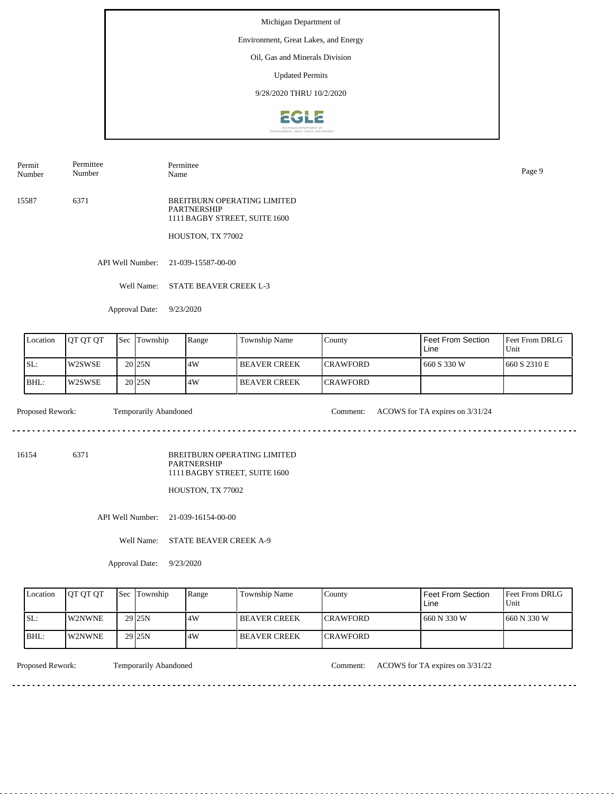# Environment, Great Lakes, and Energy

Oil, Gas and Minerals Division

Updated Permits

9/28/2020 THRU 10/2/2020



Permit Number Permittee Number

Permittee Name Page 9

15587 6371 BREITBURN OPERATING LIMITED PARTNERSHIP 1111 BAGBY STREET, SUITE 1600

HOUSTON, TX 77002

API Well Number: 21-039-15587-00-00

Well Name: STATE BEAVER CREEK L-3

Approval Date: 9/23/2020

| Location | <b>IOT OT OT</b> | 'Sec. | Township            | Range | <b>Township Name</b> | County           | Feet From Section<br>Line | <b>Feet From DRLG</b><br>Unit |
|----------|------------------|-------|---------------------|-------|----------------------|------------------|---------------------------|-------------------------------|
| SL:      | W2SWSE           |       | 20 <sub>25N</sub>   | 14W   | I BEAVER CREEK       | <b>ICRAWFORD</b> | 660 S 330 W               | 1660 S 2310 E                 |
| IBHL:    | W2SWSE           |       | 20 <sub>125</sub> N | .4W   | <b>BEAVER CREEK</b>  | <b>ICRAWFORD</b> |                           |                               |

 $- - - - - -$ 

Proposed Rework: Temporarily Abandoned Comment: ACOWS for TA expires on  $3/31/24$ 

. . . . . . . . . . . . . . . . . . . .

<u>. . . . . . . . . . .</u>

16154 6371

BREITBURN OPERATING LIMITED PARTNERSHIP 1111 BAGBY STREET, SUITE 1600

HOUSTON, TX 77002

API Well Number: 21-039-16154-00-00

Well Name: STATE BEAVER CREEK A-9

Approval Date: 9/23/2020

| Location | <b>IOT OT OT</b> | <b>Sec Township</b> | Range | <b>Township Name</b>  | County           | <b>Feet From Section</b><br>∟ine | <b>Feet From DRLG</b><br>Unit |
|----------|------------------|---------------------|-------|-----------------------|------------------|----------------------------------|-------------------------------|
| ISL:     | <b>IW2NWNE</b>   | 29 <sub>25N</sub>   | .4W   | <b>I BEAVER CREEK</b> | <b>ICRAWFORD</b> | 660 N 330 W                      | 1660 N 330 W                  |
| BHL:     | <b>W2NWNE</b>    | 29 <sub>25N</sub>   | 4W    | <b>I BEAVER CREEK</b> | <b>ICRAWFORD</b> |                                  |                               |

Proposed Rework: Temporarily Abandoned Comment: ACOWS for TA expires on  $3/31/22$ 

<u>. . . . . . . .</u>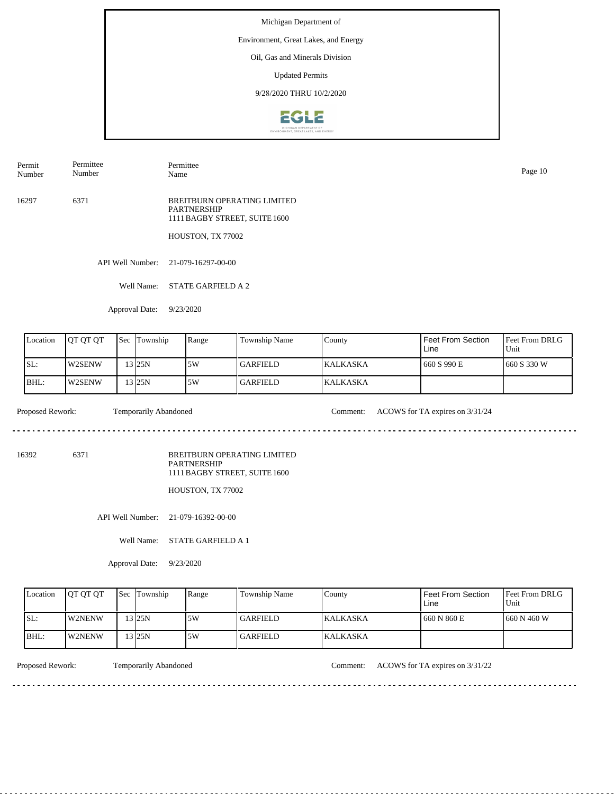# Environment, Great Lakes, and Energy

Oil, Gas and Minerals Division

Updated Permits

9/28/2020 THRU 10/2/2020



Permit Number Permittee Number

Permittee Name Page 10

16297 6371 BREITBURN OPERATING LIMITED PARTNERSHIP 1111 BAGBY STREET, SUITE 1600

HOUSTON, TX 77002

API Well Number: 21-079-16297-00-00

Well Name: STATE GARFIELD A 2

Approval Date: 9/23/2020

| Location | <b>JOT OT OT</b> | <b>Sec Township</b> | Range | <b>Township Name</b> | County           | Feet From Section<br>Line | Feet From DRLG<br>Unit |
|----------|------------------|---------------------|-------|----------------------|------------------|---------------------------|------------------------|
| SL:      | <b>IW2SENW</b>   | 13 25 N             | 5W    | <b>GARFIELD</b>      | <b>IKALKASKA</b> | 660 S 990 E               | 1660 S 330 W           |
| BHL:     | W2SENW           | '3 25N              | 5W    | GARFIELD_            | <b>KALKASKA</b>  |                           |                        |

 $- - - - - -$ 

Proposed Rework: Temporarily Abandoned Comment: ACOWS for TA expires on  $3/31/24$ 

<u>. . . . . . . . . . . . . . . . . . .</u>

16392 6371

BREITBURN OPERATING LIMITED PARTNERSHIP 1111 BAGBY STREET, SUITE 1600

HOUSTON, TX 77002

API Well Number: 21-079-16392-00-00

Well Name: STATE GARFIELD A 1

Approval Date: 9/23/2020

| Location | <b>OT OT OT</b> | <b>Sec Township</b> | Range | <b>Township Name</b> | County           | Feet From Section<br>∟ine | <b>Feet From DRLG</b><br>Unit |
|----------|-----------------|---------------------|-------|----------------------|------------------|---------------------------|-------------------------------|
| ISL:     | <b>IW2NENW</b>  | 13 25N              | 5W    | GARFIELD_            | <b>IKALKASKA</b> | 660 N 860 E               | 1660 N 460 W                  |
| BHL:     | <b>IW2NENW</b>  | $3$ 25N             | 5W    | GARFIELD_            | <b>KALKASKA</b>  |                           |                               |

<u>. . . . . . . .</u>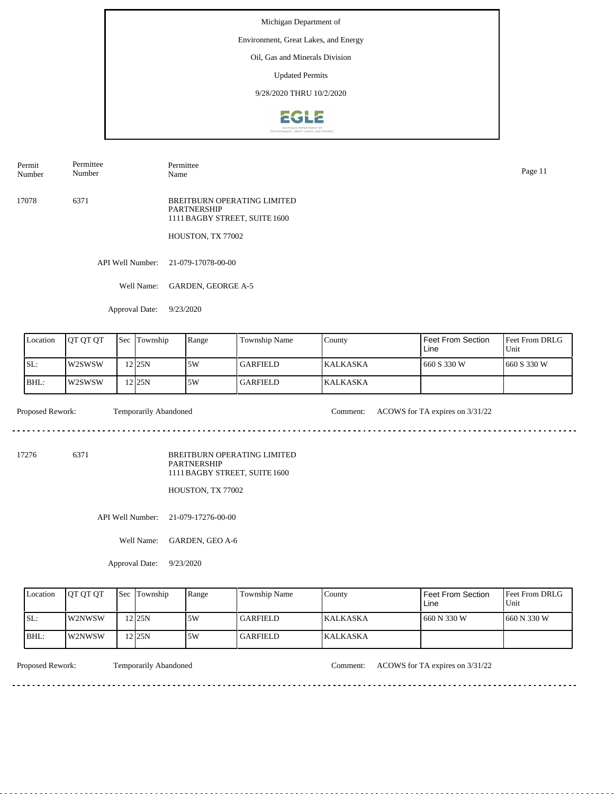# Environment, Great Lakes, and Energy

Oil, Gas and Minerals Division

Updated Permits

9/28/2020 THRU 10/2/2020



Permit Number Permittee Number

Permittee Name Page 11

17078 6371 BREITBURN OPERATING LIMITED PARTNERSHIP 1111 BAGBY STREET, SUITE 1600

HOUSTON, TX 77002

API Well Number: 21-079-17078-00-00

Well Name: GARDEN, GEORGE A-5

Approval Date: 9/23/2020

| Location | <b>IOT OT OT</b> | 'Sec | Township           | Range | <b>Township Name</b> | County          | Feet From Section<br>Line | <b>Feet From DRLG</b><br>Unit |
|----------|------------------|------|--------------------|-------|----------------------|-----------------|---------------------------|-------------------------------|
| SL:      | l w2SWSW         |      | 12 <sub>125N</sub> | 5W    | l GARFIELD.          | <b>KALKASKA</b> | 660 S 330 W               | 1660 S 330 W                  |
| IBHL:    | l w2SWSW         |      | 12 <sub>125N</sub> | 5W    | <b>GARFIELD</b>      | <b>KALKASKA</b> |                           |                               |

 $- - - - - -$ 

Proposed Rework: Temporarily Abandoned Comment: ACOWS for TA expires on  $3/31/22$ 

<u>. . . . . . . . . . . . . . . . . . .</u>

17276 6371

BREITBURN OPERATING LIMITED PARTNERSHIP 1111 BAGBY STREET, SUITE 1600

HOUSTON, TX 77002

API Well Number: 21-079-17276-00-00

Well Name: GARDEN, GEO A-6

Approval Date: 9/23/2020

| Location | <b>OT OT OT</b> | <b>Sec Township</b> | Range | <b>Township Name</b> | County           | Feet From Section<br>Line | <b>Feet From DRLG</b><br>Unit |
|----------|-----------------|---------------------|-------|----------------------|------------------|---------------------------|-------------------------------|
| ISL:     | <b>IW2NWSW</b>  | 12 <sub>25N</sub>   | 5W    | <b>GARFIELD</b>      | <b>IKALKASKA</b> | 1 660 N 330 W             | 1660 N 330 W                  |
| BHL:     | <b>IW2NWSW</b>  | 12 25 N             | .5W   | GARFIELD_            | <b>KALKASKA</b>  |                           |                               |

<u>. . . . . . . .</u>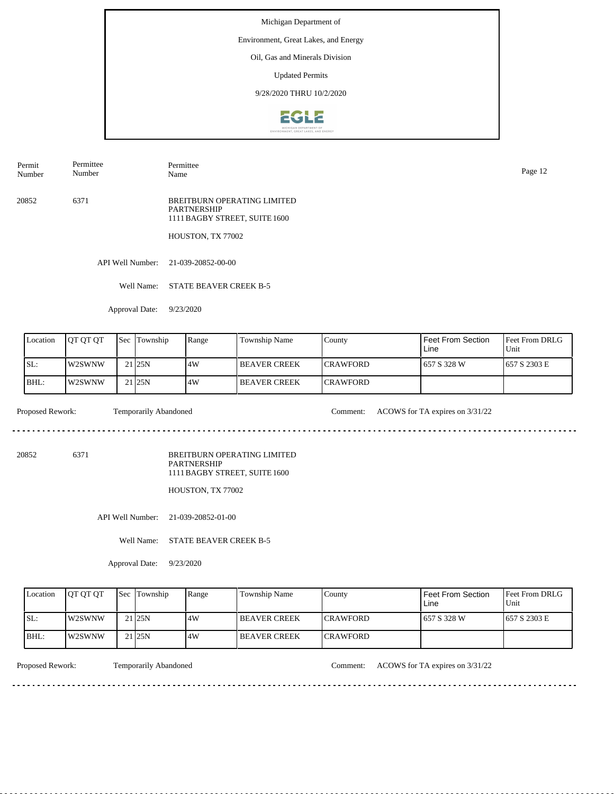# Environment, Great Lakes, and Energy

Oil, Gas and Minerals Division

Updated Permits

9/28/2020 THRU 10/2/2020



Permit Number Permittee Number

Permittee Name Page 12

20852 6371 BREITBURN OPERATING LIMITED PARTNERSHIP 1111 BAGBY STREET, SUITE 1600

HOUSTON, TX 77002

API Well Number: 21-039-20852-00-00

Well Name: STATE BEAVER CREEK B-5

Approval Date: 9/23/2020

| Location | <b>IOT OT OT</b> | Sec Township      | Range | Township Name        | County           | Feet From Section<br>Line | <b>Feet From DRLG</b><br>Unit |
|----------|------------------|-------------------|-------|----------------------|------------------|---------------------------|-------------------------------|
| ISL:     | l w2SWNW         | 21 <sub>25N</sub> | .4W   | <b>IBEAVER CREEK</b> | <b>ICRAWFORD</b> | 657 S 328 W               | 1657 S 2303 E                 |
| IBHL:    | l w2SWNW         | 21 <sub>25N</sub> | 4W    | <b>BEAVER CREEK</b>  | <b>ICRAWFORD</b> |                           |                               |

 $- - - - - -$ 

Proposed Rework: Temporarily Abandoned Comment: ACOWS for TA expires on  $3/31/22$ 

. . . . . . . . . . . . . . . . . . . .

20852 6371

BREITBURN OPERATING LIMITED PARTNERSHIP 1111 BAGBY STREET, SUITE 1600

HOUSTON, TX 77002

API Well Number: 21-039-20852-01-00

Well Name: STATE BEAVER CREEK B-5

Approval Date: 9/23/2020

| Location | <b>OT OT OT</b> | <b>Sec Township</b> | Range | <b>Township Name</b> | County           | Feet From Section<br>Line | <b>Feet From DRLG</b><br>Unit |
|----------|-----------------|---------------------|-------|----------------------|------------------|---------------------------|-------------------------------|
| ISL:     | <b>IW2SWNW</b>  | $21$  25N           | 4W    | <b>IBEAVER CREEK</b> | <b>ICRAWFORD</b> | 1657 S 328 W              | 1657 S 2303 E                 |
| IBHL:    | W2SWNW          | 21 25N              | 4W    | <b>IBEAVER CREEK</b> | <b>ICRAWFORD</b> |                           |                               |

<u>. . . . . . . .</u>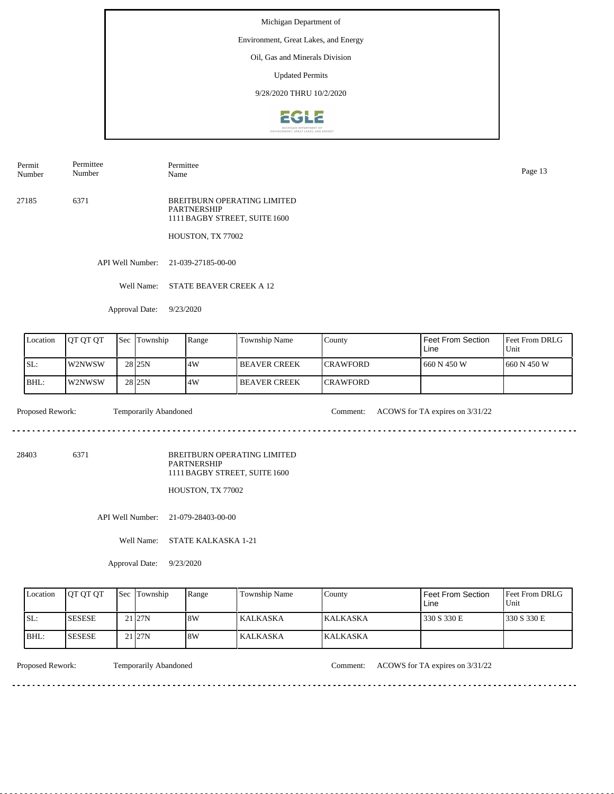# Environment, Great Lakes, and Energy

Oil, Gas and Minerals Division

Updated Permits

9/28/2020 THRU 10/2/2020



Permit Number Permittee Number

Page 13<br>Name Page 13

Permittee

27185 6371 BREITBURN OPERATING LIMITED PARTNERSHIP 1111 BAGBY STREET, SUITE 1600

HOUSTON, TX 77002

API Well Number: 21-039-27185-00-00

Well Name: STATE BEAVER CREEK A 12

Approval Date: 9/23/2020

| Location | IOT OT OT | <b>Sec Township</b> | Range | <b>Township Name</b> | County           | Feet From Section<br>Line | <b>Feet From DRLG</b><br>Unit |
|----------|-----------|---------------------|-------|----------------------|------------------|---------------------------|-------------------------------|
| SL:      | IW2NWSW   | 28 <sub>25N</sub>   | 14W   | <b>IBEAVER CREEK</b> | <b>ICRAWFORD</b> | 660 N 450 W               | 1660 N 450 W                  |
| BHL:     | W2NWSW    | 28 <sub>25N</sub>   | 14W   | <b>IBEAVER CREEK</b> | <b>ICRAWFORD</b> |                           |                               |

 $\mathcal{L}^{\mathcal{L}}\left( \mathcal{L}^{\mathcal{L}}\left( \mathcal{L}^{\mathcal{L}}\right) \right) =\mathcal{L}^{\mathcal{L}}\left( \mathcal{L}^{\mathcal{L}}\right)$ 

Proposed Rework: Temporarily Abandoned Comment: ACOWS for TA expires on  $3/31/22$ 

<u>. . . . . . . . . . .</u>

28403 6371

BREITBURN OPERATING LIMITED PARTNERSHIP 1111 BAGBY STREET, SUITE 1600

HOUSTON, TX 77002

API Well Number: 21-079-28403-00-00

Well Name: STATE KALKASKA 1-21

Approval Date: 9/23/2020

| Location | <b>OT OT OT</b> | <b>Sec Township</b> | Range | <b>Township Name</b> | County           | Feet From Section<br>Line | <b>Feet From DRLG</b><br>Unit |
|----------|-----------------|---------------------|-------|----------------------|------------------|---------------------------|-------------------------------|
| ISL:     | <b>ISESESE</b>  | $21$ <sub>27N</sub> | 8W    | <b>KALKASKA</b>      | <b>IKALKASKA</b> | 330 S 330 E               | 1330 S 330 E                  |
| IBHL:    | <b>SESESE</b>   | $21$ <sub>27N</sub> | 8W    | <b>KALKASKA</b>      | <b>KALKASKA</b>  |                           |                               |

<u>. . . . . . . .</u>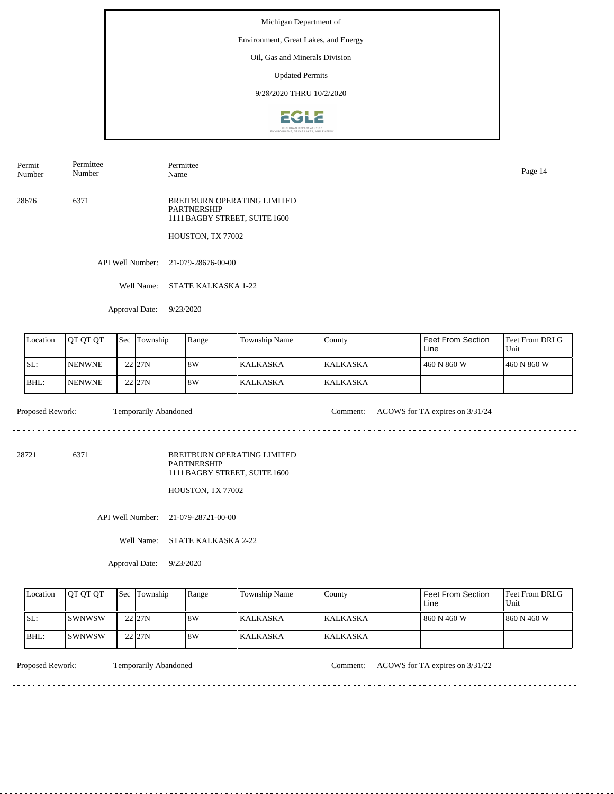# Environment, Great Lakes, and Energy

Oil, Gas and Minerals Division

Updated Permits

9/28/2020 THRU 10/2/2020



Permit Number Permittee Number

Permittee Name Page 14

28676 6371 BREITBURN OPERATING LIMITED PARTNERSHIP 1111 BAGBY STREET, SUITE 1600

HOUSTON, TX 77002

API Well Number: 21-079-28676-00-00

Well Name: STATE KALKASKA 1-22

Approval Date: 9/23/2020

| Location | <b>JOT OT OT</b> | <b>Sec Township</b> | Range | <b>Township Name</b> | County           | Feet From Section<br>Line | Feet From DRLG<br>Unit |
|----------|------------------|---------------------|-------|----------------------|------------------|---------------------------|------------------------|
| SL:      | <b>INENWNE</b>   | $22$ <sub>27N</sub> | 8W    | KALKASKA             | <b>IKALKASKA</b> | 460 N 860 W               | 1460 N 860 W           |
| BHL:     | <b>INENWNE</b>   | 22 27N              | 18W   | KALKASKA             | <b>KALKASKA</b>  |                           |                        |

Proposed Rework: Temporarily Abandoned Comment: ACOWS for TA expires on  $3/31/24$ 

 $- - - - - -$ 

. . . . . . . . . . . . . . . . . . . .

28721 6371

BREITBURN OPERATING LIMITED PARTNERSHIP 1111 BAGBY STREET, SUITE 1600

HOUSTON, TX 77002

API Well Number: 21-079-28721-00-00

Well Name: STATE KALKASKA 2-22

Approval Date: 9/23/2020

| Location | <b>OT OT OT</b> | <b>Sec Township</b> | Range | <b>Township Name</b> | County           | Feet From Section<br>∟ine | <b>Feet From DRLG</b><br>Unit |
|----------|-----------------|---------------------|-------|----------------------|------------------|---------------------------|-------------------------------|
| ISL:     | <b>ISWNWSW</b>  | 22 27N              | 8W    | <b>KALKASKA</b>      | <b>IKALKASKA</b> | 860 N 460 W               | 1860 N 460 W                  |
| BHL:     | <b>ISWNWSW</b>  | 22 27N              | 8W    | KALKASKA             | KALKASKA         |                           |                               |

<u>. . . . . . . .</u>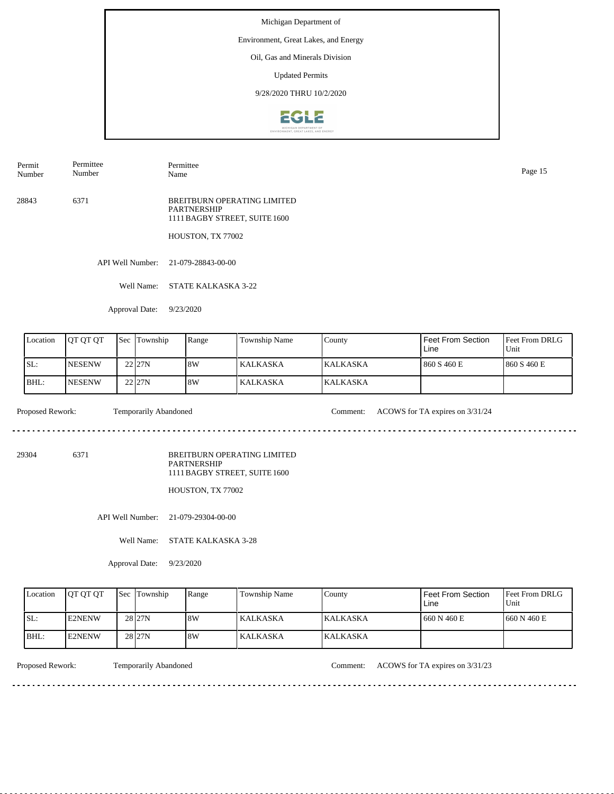# Environment, Great Lakes, and Energy

Oil, Gas and Minerals Division

Updated Permits

9/28/2020 THRU 10/2/2020



Permit Number Permittee Number

Permittee Name Page 15

28843 6371 BREITBURN OPERATING LIMITED PARTNERSHIP 1111 BAGBY STREET, SUITE 1600

HOUSTON, TX 77002

API Well Number: 21-079-28843-00-00

Well Name: STATE KALKASKA 3-22

Approval Date: 9/23/2020

| Location | IOT OT OT      | <b>Sec Township</b> | Range | <b>Township Name</b> | County          | Feet From Section<br>Line | <b>Feet From DRLG</b><br>Unit |
|----------|----------------|---------------------|-------|----------------------|-----------------|---------------------------|-------------------------------|
| SL:      | <b>INESENW</b> | 22 <sub>127N</sub>  | 8W    | KALKASKA             | <b>KALKASKA</b> | 860 S 460 E               | 1860 S 460 E                  |
| BHL:     | <b>INESENW</b> | $22$ <sub>27N</sub> | 18W   | KALKASKA             | <b>KALKASKA</b> |                           |                               |

 $- - - - - -$ 

Proposed Rework: Temporarily Abandoned Comment: ACOWS for TA expires on  $3/31/24$ 

. . . . . . . . . . . . . . . . . . . .

29304 6371

BREITBURN OPERATING LIMITED PARTNERSHIP 1111 BAGBY STREET, SUITE 1600

HOUSTON, TX 77002

API Well Number: 21-079-29304-00-00

Well Name: STATE KALKASKA 3-28

Approval Date: 9/23/2020

| Location | <b>IOT OT OT</b> | <b>Sec Township</b> | Range | <b>Township Name</b> | County           | Feet From Section<br>Line | <b>Feet From DRLG</b><br>Unit |
|----------|------------------|---------------------|-------|----------------------|------------------|---------------------------|-------------------------------|
| ISL:     | E2NENW           | 28 <sub>27N</sub>   | 8W    | <b>KALKASKA</b>      | <b>IKALKASKA</b> | 1660 N 460 E              | 1660 N 460 E                  |
| BHL:     | <b>E2NENW</b>    | 28 <sub>27N</sub>   | 8W    | KALKASKA             | <b>KALKASKA</b>  |                           |                               |

<u>. . . . . . . .</u>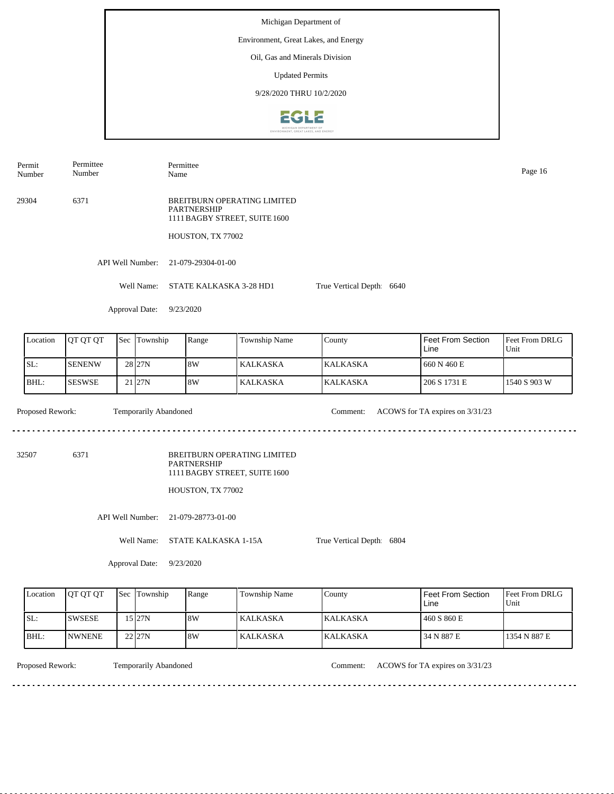Permit Number Permittee Number Permittee Name Page 16

29304 6371 BREITBURN OPERATING LIMITED PARTNERSHIP 1111 BAGBY STREET, SUITE 1600

HOUSTON, TX 77002

API Well Number: 21-079-29304-01-00

Well Name: STATE KALKASKA 3-28 HD1 True Vertical Depth: 6640

Approval Date: 9/23/2020

| Location | <b>JOT OT OT</b> | <b>Sec Township</b> | Range | Township Name | County           | Feet From Section<br>Line | <b>Feet From DRLG</b><br>Unit |
|----------|------------------|---------------------|-------|---------------|------------------|---------------------------|-------------------------------|
| SL:      | <b>SENENW</b>    | 28 <sub>27N</sub>   | 18W   | l KALKASKA    | <b>IKALKASKA</b> | 1 660 N 460 E             |                               |
| IBHL:    | <b>SESWSE</b>    | $21$  27N           | 8W    | l KALKASKA    | <b>KALKASKA</b>  | 206 S 1731 E              | 1540 S 903 W                  |

Proposed Rework: Temporarily Abandoned Comment: ACOWS for TA expires on  $3/31/23$ Temporarily Abandoned

. . . . . . . . . . . . . . . . . .

32507 6371

BREITBURN OPERATING LIMITED PARTNERSHIP 1111 BAGBY STREET, SUITE 1600

HOUSTON, TX 77002

API Well Number: 21-079-28773-01-00

Well Name: STATE KALKASKA 1-15A

True Vertical Depth: 6804

Approval Date: 9/23/2020

| Location | <b>IOT OT OT</b> | <b>Sec Township</b> | Range | <b>Township Name</b> | County           | Feet From Section<br>Line | <b>Feet From DRLG</b><br>Unit |
|----------|------------------|---------------------|-------|----------------------|------------------|---------------------------|-------------------------------|
| ISL:     | <b>ISWSESE</b>   | 15 27N              | 8W    | KALKASKA             | <b>IKALKASKA</b> | 460 S 860 E               |                               |
| BHL:     | <b>INWNENE</b>   | 22 27N              | 8W    | KALKASKA             | <b>KALKASKA</b>  | 34 N 887 E                | 1354 N 887 E                  |

Temporarily Abandoned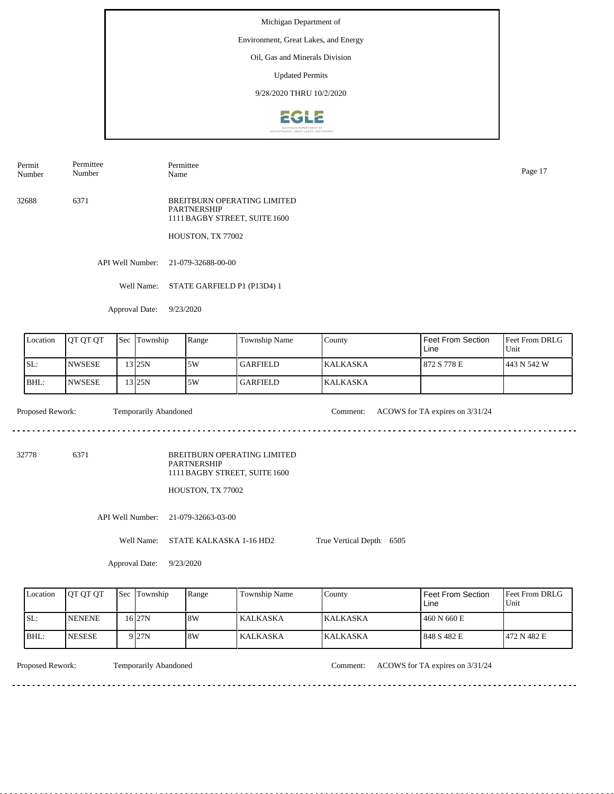#### Environment, Great Lakes, and Energy

Oil, Gas and Minerals Division

Updated Permits

9/28/2020 THRU 10/2/2020



Permit Number Permittee Number

Permittee Name Page 17

32688 6371 BREITBURN OPERATING LIMITED PARTNERSHIP 1111 BAGBY STREET, SUITE 1600

HOUSTON, TX 77002

API Well Number: 21-079-32688-00-00

Well Name: STATE GARFIELD P1 (P13D4) 1

Approval Date: 9/23/2020

| Location | <b>OT OT OT</b>       | <b>Sec</b> | Township | Range | Township Name   | County           | Feet From Section<br>Line | <b>Feet From DRLG</b><br>Unit |
|----------|-----------------------|------------|----------|-------|-----------------|------------------|---------------------------|-------------------------------|
| SL:      | INWSESE               |            | 3125N    | 5W    | GARFIELD        | <b>IKALKASKA</b> | 1872 S 778 E              | 1443 N 542 W                  |
| BHL:     | <i><b>INWSESE</b></i> |            | $3$ 25N  | 5W    | <b>GARFIELD</b> | <b>KALKASKA</b>  |                           |                               |

Proposed Rework: Temporarily Abandoned Comment: ACOWS for TA expires on  $3/31/24$ 

 $\mathcal{L}^{\mathcal{L}}\left( \mathcal{L}^{\mathcal{L}}\left( \mathcal{L}^{\mathcal{L}}\right) \right) =\mathcal{L}^{\mathcal{L}}\left( \mathcal{L}^{\mathcal{L}}\right)$ 

<u>. . . . . . . . . . .</u>

32778 6371

BREITBURN OPERATING LIMITED PARTNERSHIP 1111 BAGBY STREET, SUITE 1600

HOUSTON, TX 77002

API Well Number: 21-079-32663-03-00

Well Name: STATE KALKASKA 1-16 HD2

True Vertical Depth: 6505

Approval Date: 9/23/2020

| Location | <b>IOT OT OT</b> | <b>Sec</b> Township | Range | <b>Township Name</b> | County           | l Feet From Section .<br>Line | <b>Feet From DRLG</b><br>l Unit |
|----------|------------------|---------------------|-------|----------------------|------------------|-------------------------------|---------------------------------|
| ISL:     | <b>INENENE</b>   | 16 I 27 N           | 18W   | <b>KALKASKA</b>      | <b>IKALKASKA</b> | 1460 N 660 E                  |                                 |
| IBHL:    | <b>INESESE</b>   | 9 27N               | 18W   | KALKASKA             | <b>KALKASKA</b>  | 1 848 S 482 E                 | 1472 N 482 E                    |

<u>. . . . . . . .</u>

Temporarily Abandoned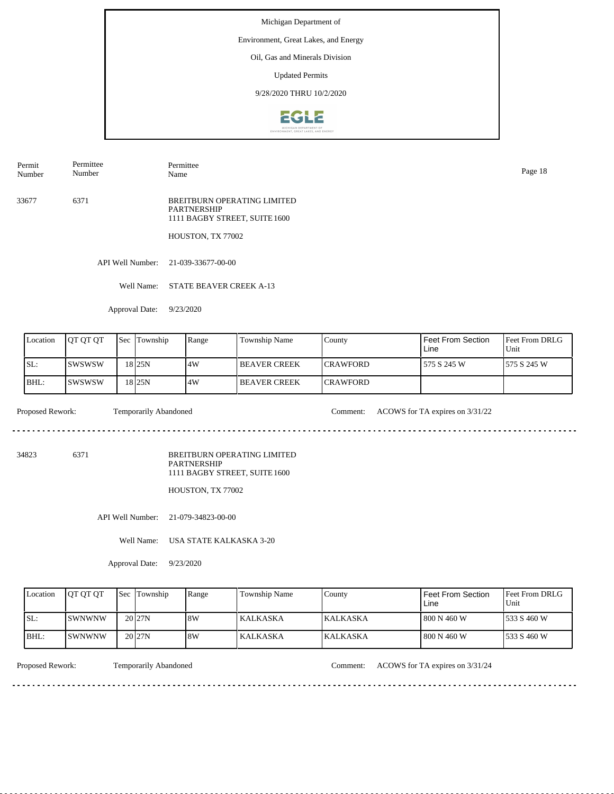# Environment, Great Lakes, and Energy

Oil, Gas and Minerals Division

Updated Permits

9/28/2020 THRU 10/2/2020



Permit Number Permittee Number

Permittee Name Page 18

33677 6371 BREITBURN OPERATING LIMITED PARTNERSHIP 1111 BAGBY STREET, SUITE 1600

HOUSTON, TX 77002

API Well Number: 21-039-33677-00-00

Well Name: STATE BEAVER CREEK A-13

Approval Date: 9/23/2020

| Location | <b>OT OT OT</b> | <b>Sec</b> | Township           | Range | <b>Township Name</b> | County           | Feet From Section<br>Line | <b>IFeet From DRLG</b><br>Unit |
|----------|-----------------|------------|--------------------|-------|----------------------|------------------|---------------------------|--------------------------------|
| SL:      | Iswswsw         |            | 18 I 25 N          | 14W   | I BEAVER CREEK       | <b>ICRAWFORD</b> | 575 S 245 W               | 1575 S 245 W                   |
| IBHL:    | Iswswsw         |            | 18 <sub>125N</sub> | .4W   | <b>BEAVER CREEK</b>  | <b>ICRAWFORD</b> |                           |                                |

 $- - - - - -$ 

Proposed Rework: Temporarily Abandoned Comment: ACOWS for TA expires on  $3/31/22$ 

34823 6371

BREITBURN OPERATING LIMITED PARTNERSHIP 1111 BAGBY STREET, SUITE 1600

HOUSTON, TX 77002

API Well Number: 21-079-34823-00-00

Well Name: USA STATE KALKASKA 3-20

Approval Date: 9/23/2020

| Location | <b>IOT OT OT</b>      | <b>Sec Township</b> | Range | Township Name   | County           | Feet From Section<br>Line | <b>Feet From DRLG</b><br>Unit |
|----------|-----------------------|---------------------|-------|-----------------|------------------|---------------------------|-------------------------------|
| ISL:     | <b>ISWNWNW</b>        | $20$ <sub>27N</sub> | 8W    | KALKASKA        | <b>IKALKASKA</b> | l 800 N 460 W             | 1533 S 460 W                  |
| BHL:     | <i><b>ISWNWNW</b></i> | $20$ <sub>27N</sub> | 8W    | <b>KALKASKA</b> | <b>KALKASKA</b>  | 800 N 460 W               | 1533 S 460 W                  |

<u>. . . . . . . .</u>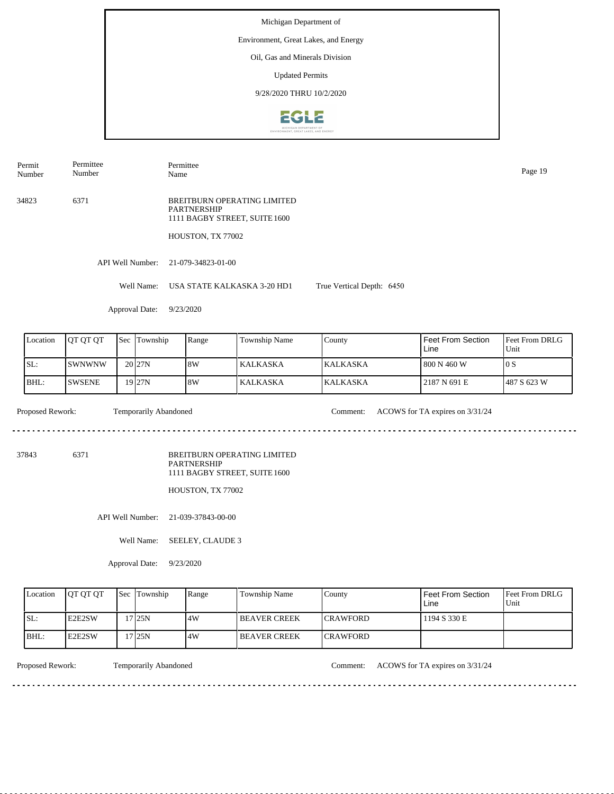Permit Number Permittee Number

Name Page 19

Permittee

34823 6371 BREITBURN OPERATING LIMITED PARTNERSHIP 1111 BAGBY STREET, SUITE 1600

HOUSTON, TX 77002

API Well Number: 21-079-34823-01-00

Well Name: USA STATE KALKASKA 3-20 HD1 True Vertical Depth: 6450

Approval Date: 9/23/2020

| Location | <b>OT OT OT</b> | <b>Sec Township</b> | Range | Township Name | Countv           | Feet From Section<br>Line | <b>Feet From DRLG</b><br>Unit |
|----------|-----------------|---------------------|-------|---------------|------------------|---------------------------|-------------------------------|
| SL:      | <b>ISWNWNW</b>  | 20 <sub>27N</sub>   | 18W   | l KALKASKA    | <b>IKALKASKA</b> | l 800 N 460 W             | 10S                           |
| IBHL:    | <b>SWSENE</b>   | $19$ 27N            | 8W    | l KALKASKA    | <b>KALKASKA</b>  | 2187 N 691 E              | 1487 S 623 W                  |

Temporarily Abandoned

Proposed Rework: Temporarily Abandoned Comment: ACOWS for TA expires on  $3/31/24$ 

. . . . . . . . . . . . . . . . . .

37843 6371

BREITBURN OPERATING LIMITED PARTNERSHIP 1111 BAGBY STREET, SUITE 1600

HOUSTON, TX 77002

API Well Number: 21-039-37843-00-00

Well Name: SEELEY, CLAUDE 3

Approval Date: 9/23/2020

| Location | <b>IOT OT OT</b> | <b>Sec Township</b> | Range | Township Name       | County           | Feet From Section<br>∟ine | <b>Feet From DRLG</b><br>Unit |
|----------|------------------|---------------------|-------|---------------------|------------------|---------------------------|-------------------------------|
| ISL:     | <b>IE2E2SW</b>   | '7 25N              | 14W   | I BEAVER CREEK      | <b>ICRAWFORD</b> | 1194 S 330 E              |                               |
| IBHL:    | <b>IE2E2SW</b>   | '7 25N              | 4W    | <b>BEAVER CREEK</b> | <b>ICRAWFORD</b> |                           |                               |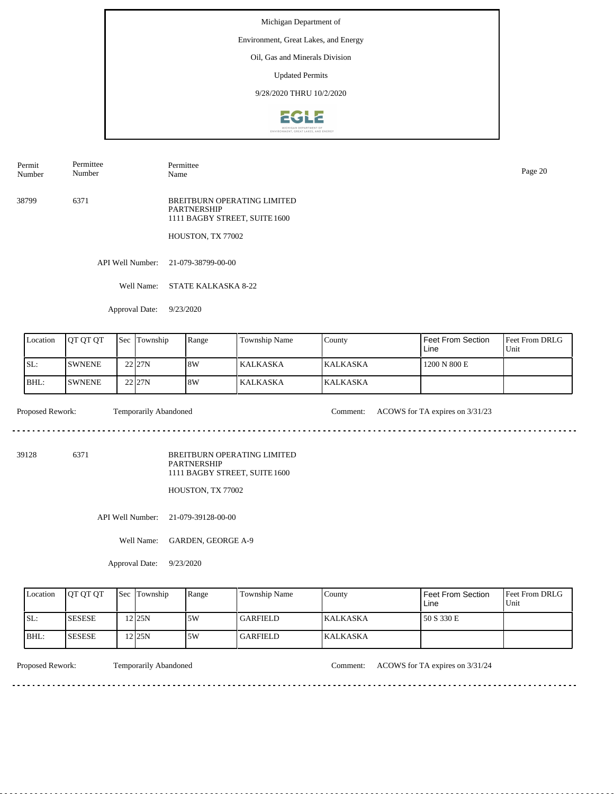# Environment, Great Lakes, and Energy

Oil, Gas and Minerals Division

Updated Permits

9/28/2020 THRU 10/2/2020



Permit Number Permittee Number

Permittee Name Page 20

38799 6371 BREITBURN OPERATING LIMITED PARTNERSHIP 1111 BAGBY STREET, SUITE 1600

HOUSTON, TX 77002

API Well Number: 21-079-38799-00-00

Well Name: STATE KALKASKA 8-22

Approval Date: 9/23/2020

| Location | <b>IOT OT OT</b> | <b>Sec</b> | Township           | Range | Township Name   | County          | <b>Feet From Section</b><br>Line | <b>Feet From DRLG</b><br>Unit |
|----------|------------------|------------|--------------------|-------|-----------------|-----------------|----------------------------------|-------------------------------|
| SL:      | <b>ISWNENE</b>   |            | 22 <sub>127N</sub> | 18W   | l KALKASKA      | <b>KALKASKA</b> | 1200 N 800 E                     |                               |
| IBHL:    | <b>ISWNENE</b>   |            | 22 <sub>127N</sub> | 18W   | <b>KALKASKA</b> | <b>KALKASKA</b> |                                  |                               |

 $\frac{1}{2} \left( \frac{1}{2} \right) \left( \frac{1}{2} \right) \left( \frac{1}{2} \right) \left( \frac{1}{2} \right) \left( \frac{1}{2} \right) \left( \frac{1}{2} \right)$ 

Proposed Rework: Temporarily Abandoned Comment: ACOWS for TA expires on  $3/31/23$ 

<u>. . . . . . . . . . .</u>

39128 6371

BREITBURN OPERATING LIMITED PARTNERSHIP 1111 BAGBY STREET, SUITE 1600

HOUSTON, TX 77002

API Well Number: 21-079-39128-00-00

Well Name: GARDEN, GEORGE A-9

Approval Date: 9/23/2020

| Location | <b>OT OT OT</b> | <b>Sec Township</b> | Range | Township Name | County          | Feet From Section<br>∟ine | <b>Feet From DRLG</b><br>Unit |
|----------|-----------------|---------------------|-------|---------------|-----------------|---------------------------|-------------------------------|
| ISL:     | <b>ISESESE</b>  | $2$ 25N             | .5W   | l GARFIELD -  | <b>KALKASKA</b> | 50 S 330 E                |                               |
| IBHL:    | <b>SESESE</b>   | 2225N               | .5W   | GARFIELD_     | KALKASKA        |                           |                               |

<u>. . . . . . . .</u>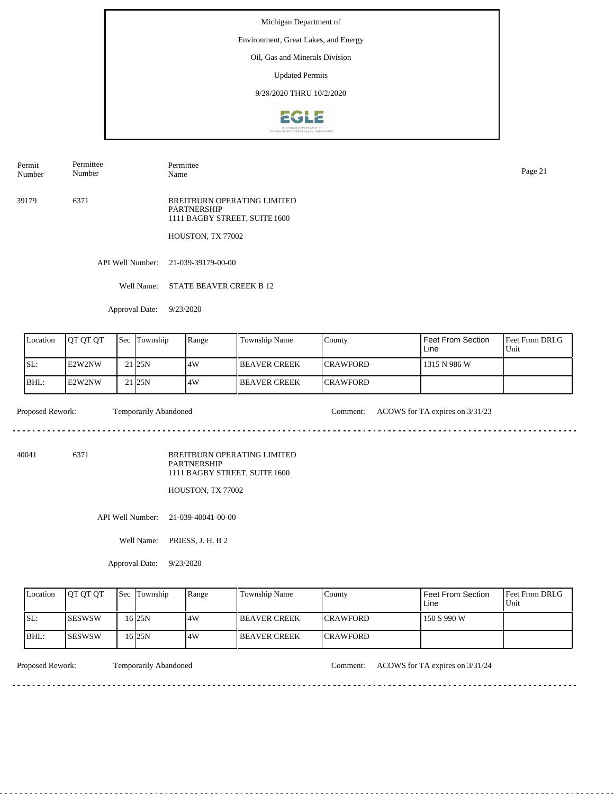# Environment, Great Lakes, and Energy

Oil, Gas and Minerals Division

Updated Permits

9/28/2020 THRU 10/2/2020



Name Page 21

Permit Number Permittee Number

39179 6371 BREITBURN OPERATING LIMITED PARTNERSHIP

HOUSTON, TX 77002

1111 BAGBY STREET, SUITE 1600

API Well Number: 21-039-39179-00-00

Permittee

Well Name: STATE BEAVER CREEK B 12

Approval Date: 9/23/2020

| Location    | <b>OT OT OT</b> | <b>Sec</b> | Township          | Range | Township Name       | County           | Feet From Section<br>Line | <b>Feet From DRLG</b><br>Unit |
|-------------|-----------------|------------|-------------------|-------|---------------------|------------------|---------------------------|-------------------------------|
| ISL:        | <b>IE2W2NW</b>  |            | 21 <sub>25N</sub> | .4W   | I BEAVER CREEK      | <b>ICRAWFORD</b> | 1315 N 986 W              |                               |
| <b>BHL:</b> | IE2W2NW         |            | 21 <sub>25N</sub> | 4W    | <b>BEAVER CREEK</b> | <b>ICRAWFORD</b> |                           |                               |

 $\mathcal{L}^{\mathcal{L}}\left( \mathcal{L}^{\mathcal{L}}\left( \mathcal{L}^{\mathcal{L}}\right) \right) =\mathcal{L}^{\mathcal{L}}\left( \mathcal{L}^{\mathcal{L}}\right)$ 

Proposed Rework: Temporarily Abandoned Comment: ACOWS for TA expires on  $3/31/23$ 

<u>. . . . . . . . . . .</u>

40041 6371

BREITBURN OPERATING LIMITED PARTNERSHIP 1111 BAGBY STREET, SUITE 1600

HOUSTON, TX 77002

API Well Number: 21-039-40041-00-00

Well Name: PRIESS, J. H. B 2

Approval Date: 9/23/2020

| Location | <b>IOT OT OT</b> | <b>Sec Township</b> | Range | Township Name        | County           | Feet From Section<br>Line | <b>Feet From DRLG</b><br>Unit |
|----------|------------------|---------------------|-------|----------------------|------------------|---------------------------|-------------------------------|
| ISL:     | <b>ISESWSW</b>   | 16 25 N             | 4W    | <b>IBEAVER CREEK</b> | <b>ICRAWFORD</b> | 150 S 990 W               |                               |
| IBHL:    | <b>ISESWSW</b>   | 16 25 N             | 4W    | <b>IBEAVER CREEK</b> | <b>ICRAWFORD</b> |                           |                               |

<u>. . . . . . . .</u>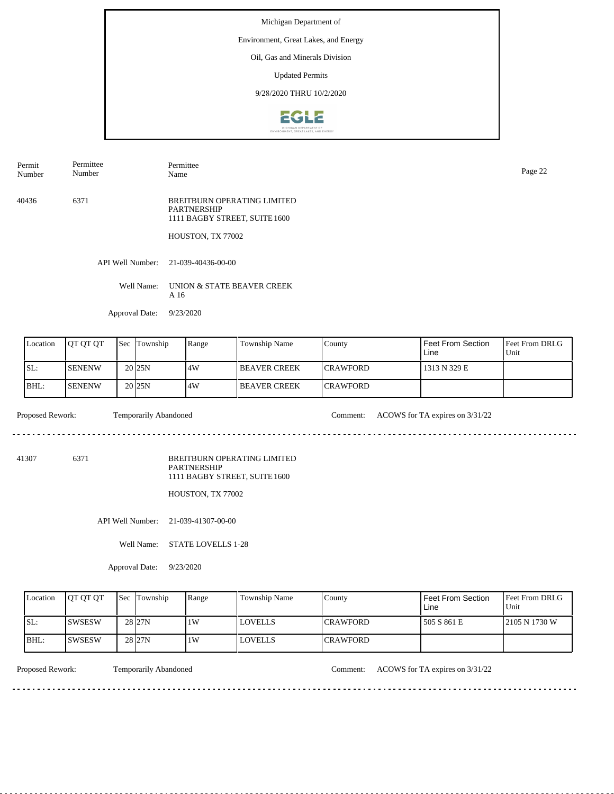#### Environment, Great Lakes, and Energy

Oil, Gas and Minerals Division

Updated Permits

9/28/2020 THRU 10/2/2020



40436 6371 BREITBURN OPERATING LIMITED PARTNERSHIP 1111 BAGBY STREET, SUITE 1600 HOUSTON, TX 77002 Permit Number Permittee Number Permittee Page 22<br>Name Page 22

API Well Number: 21-039-40436-00-00

Well Name: UNION & STATE BEAVER CREEK A 16

Approval Date: 9/23/2020

| Location | <b>IOT OT OT</b> | l Sec | Township            | Range | Township Name         | County           | Feet From Section<br>Line | <b>Feet From DRLG</b><br>Unit |
|----------|------------------|-------|---------------------|-------|-----------------------|------------------|---------------------------|-------------------------------|
| SL:      | <b>SENENW</b>    |       | 20 <sub>125</sub> N | 14W   | <b>I BEAVER CREEK</b> | <b>ICRAWFORD</b> | 1313 N 329 E              |                               |
| BHL:     | <b>ISENENW</b>   |       | 20 <sub>25N</sub>   | .4W   | <b>I BEAVER CREEK</b> | <b>ICRAWFORD</b> |                           |                               |

Proposed Rework: Temporarily Abandoned Comment: ACOWS for TA expires on 3/31/22

41307 6371

BREITBURN OPERATING LIMITED PARTNERSHIP 1111 BAGBY STREET, SUITE 1600

HOUSTON, TX 77002

API Well Number: 21-039-41307-00-00

Well Name: STATE LOVELLS 1-28

Approval Date: 9/23/2020

| Location | <b>OT OT OT</b> | <b>Sec</b> Township | Range | Township Name  | County           | <b>Feet From Section</b><br>Line | <b>Feet From DRLG</b><br>Unit |
|----------|-----------------|---------------------|-------|----------------|------------------|----------------------------------|-------------------------------|
| SL:      | ISWSESW         | 28 27N              | 1W    | <b>LOVELLS</b> | <b>ICRAWFORD</b> | 505 S 861 E                      | 12105 N 1730 W                |
| BHL:     | ISWSESW         | 28 <sub>27N</sub>   | 1W    | <b>LOVELLS</b> | <b>ICRAWFORD</b> |                                  |                               |

<u>. . . . . . . . .</u>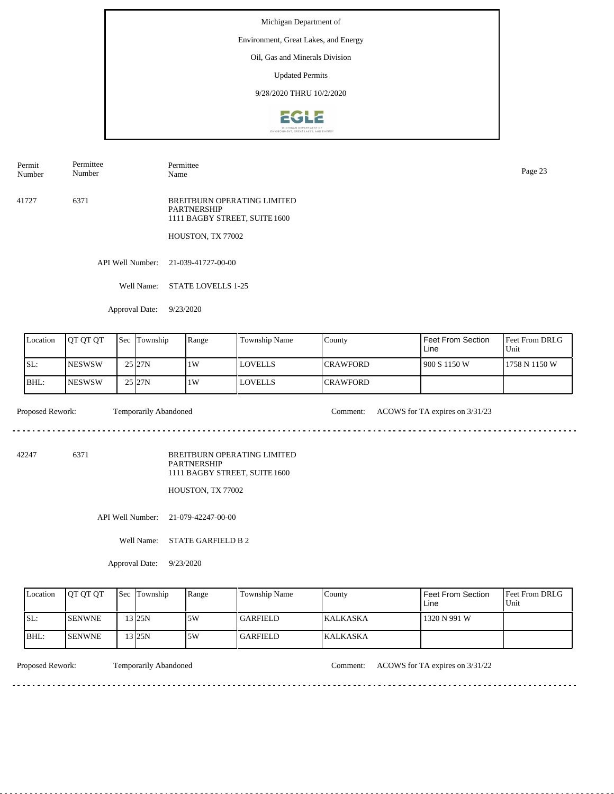# Environment, Great Lakes, and Energy

Oil, Gas and Minerals Division

Updated Permits

9/28/2020 THRU 10/2/2020



Page 23<br>Name Page 23

Permit Number Permittee Number

41727 6371 BREITBURN OPERATING LIMITED PARTNERSHIP 1111 BAGBY STREET, SUITE 1600

HOUSTON, TX 77002

API Well Number: 21-039-41727-00-00

Well Name: STATE LOVELLS 1-25

Permittee

Approval Date: 9/23/2020

| Location | <b>IOT OT OT</b> | <b>Sec</b> | Township | Range | Township Name  | County           | Feet From Section<br>Line | Feet From DRLG<br>Unit |
|----------|------------------|------------|----------|-------|----------------|------------------|---------------------------|------------------------|
| SL:      | <b>INESWSW</b>   |            | 25 27N   | 1W    | <b>LOVELLS</b> | <b>ICRAWFORD</b> | 1900 S 1150 W             | 1758 N 1150 W          |
| IBHL:    | <b>INESWSW</b>   |            | 25 27N   | 1W    | <b>LOVELLS</b> | <b>CRAWFORD</b>  |                           |                        |

 $\mathcal{L}^{\mathcal{L}}\left( \mathcal{L}^{\mathcal{L}}\left( \mathcal{L}^{\mathcal{L}}\right) \right) =\mathcal{L}^{\mathcal{L}}\left( \mathcal{L}^{\mathcal{L}}\right)$ 

Proposed Rework: Temporarily Abandoned Comment: ACOWS for TA expires on  $3/31/23$ 

<u>. . . . . . . . . . . . .</u>

42247 6371

BREITBURN OPERATING LIMITED PARTNERSHIP 1111 BAGBY STREET, SUITE 1600

HOUSTON, TX 77002

API Well Number: 21-079-42247-00-00

Well Name: STATE GARFIELD B 2

Approval Date: 9/23/2020

| Location | <b>IOT OT OT</b> | <b>Sec Township</b> | Range | Township Name | County          | Feet From Section<br>∟ine | <b>Feet From DRLG</b><br>Unit |
|----------|------------------|---------------------|-------|---------------|-----------------|---------------------------|-------------------------------|
| ISL:     | <b>ISENWNE</b>   | $13$ 25N            | .5W   | l GARFIELD -  | <b>KALKASKA</b> | 1320 N 991 W              |                               |
| BHL:     | <b>ISENWNE</b>   | $13$ 25N            | .5W   | GARFIELD_     | KALKASKA        |                           |                               |

<u>. . . . . . . . .</u>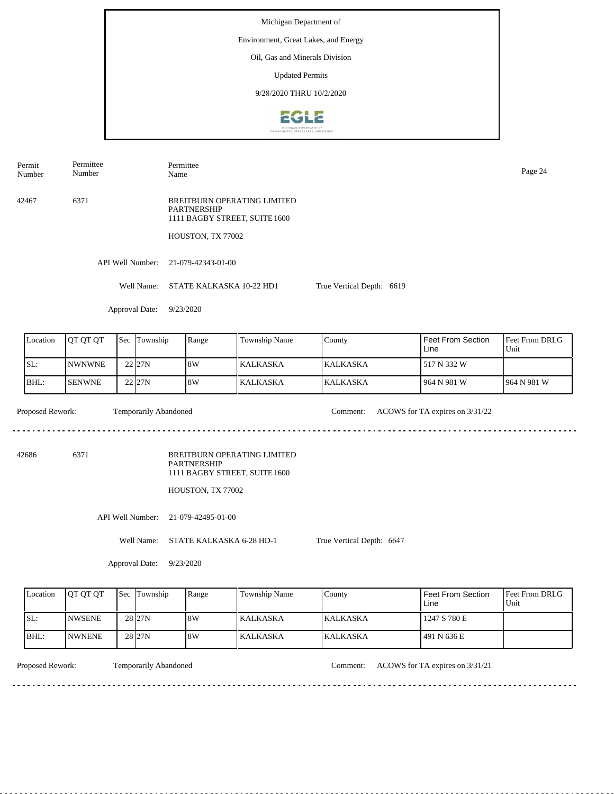Permit Number Permittee Number

Permittee Name Page 24

42467 6371 BREITBURN OPERATING LIMITED PARTNERSHIP 1111 BAGBY STREET, SUITE 1600

HOUSTON, TX 77002

API Well Number: 21-079-42343-01-00

Well Name: STATE KALKASKA 10-22 HD1 True Vertical Depth: 6619

Approval Date: 9/23/2020

| Location | <b>OT OT OT</b> | 'Sec | Township   | Range | Township Name | County           | Feet From Section<br>Line | <b>Feet From DRLG</b><br>Unit |
|----------|-----------------|------|------------|-------|---------------|------------------|---------------------------|-------------------------------|
| ISL:     | <b>NWNWNE</b>   |      | 22 27N     | 18W   | l KALKASKA.   | <b>IKALKASKA</b> | 517 N 332 W               |                               |
| IBHL:    | <b>SENWNE</b>   |      | $22$ $27N$ | 8W    | l KALKASKA    | <b>KALKASKA</b>  | 964 N 981 W               | 1964 N 981 W                  |

Proposed Rework: Temporarily Abandoned Comment: ACOWS for TA expires on  $3/31/22$ Temporarily Abandoned

. . . . . . . . . . . . . . . . . .

42686 6371

BREITBURN OPERATING LIMITED PARTNERSHIP 1111 BAGBY STREET, SUITE 1600

HOUSTON, TX 77002

API Well Number: 21-079-42495-01-00

Well Name: STATE KALKASKA 6-28 HD-1

True Vertical Depth: 6647

Approval Date: 9/23/2020

| Location | <b>OT OT OT</b> | <b>Sec Township</b> | Range | <b>Township Name</b> | County           | <b>Feet From Section</b><br>∟ine | <b>Feet From DRLG</b><br>Unit |
|----------|-----------------|---------------------|-------|----------------------|------------------|----------------------------------|-------------------------------|
| ISL:     | <b>INWSENE</b>  | 28 <sub>27N</sub>   | 8W    | KALKASKA             | <b>IKALKASKA</b> | 1247 S 780 E                     |                               |
| $IBHL$ : | <b>INWNENE</b>  | 28 <sub>27N</sub>   | 18W   | KALKASKA             | <b>KALKASKA</b>  | 491 N 636 E                      |                               |

Temporarily Abandoned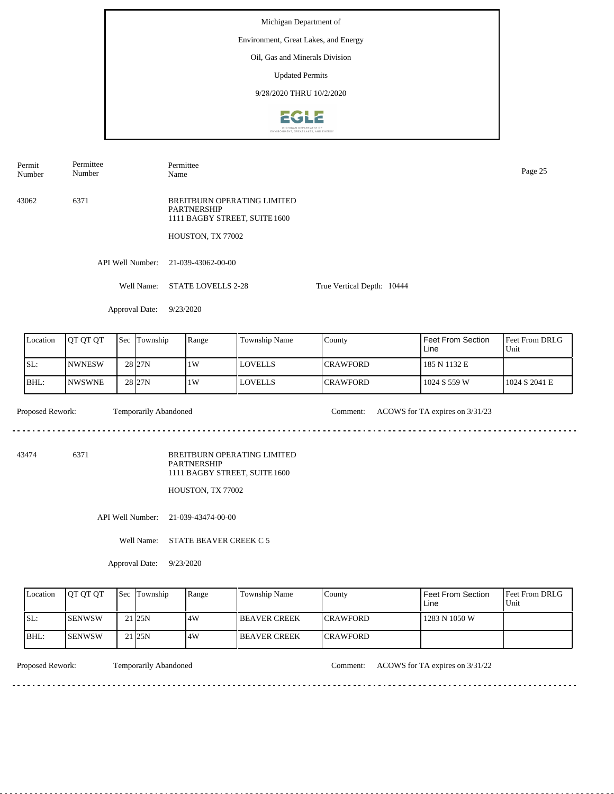Permit Number Permittee Number

Permittee Name Page 25

43062 6371 BREITBURN OPERATING LIMITED PARTNERSHIP 1111 BAGBY STREET, SUITE 1600

HOUSTON, TX 77002

API Well Number: 21-039-43062-00-00

Well Name: STATE LOVELLS 2-28

Approval Date: 9/23/2020

| Location | <b>IOT OT OT</b> | <b>Sec</b> | Township           | Range | Township Name  | County           | Feet From Section<br>Line | <b>Feet From DRLG</b><br>Unit |
|----------|------------------|------------|--------------------|-------|----------------|------------------|---------------------------|-------------------------------|
| ISL:     | <b>NWNESW</b>    |            | 28 <sub>127N</sub> | 1W    | <b>LOVELLS</b> | <b>ICRAWFORD</b> | 185 N 1132 E              |                               |
| BHL:     | <b>NWSWNE</b>    |            | 28 <sub>127N</sub> | 1W    | <b>LOVELLS</b> | <b>ICRAWFORD</b> | 1024 S 559 W              | 1024 S 2041 E                 |

Proposed Rework: Temporarily Abandoned Comment: ACOWS for TA expires on  $3/31/23$ Temporarily Abandoned

. . . . . . . . . . . . . . . . . . .

True Vertical Depth: 10444

43474 6371

BREITBURN OPERATING LIMITED PARTNERSHIP 1111 BAGBY STREET, SUITE 1600

HOUSTON, TX 77002

API Well Number: 21-039-43474-00-00

Well Name: STATE BEAVER CREEK C 5

Approval Date: 9/23/2020

| Location | <b>OT OT OT</b> | <b>Sec Township</b> | Range | <b>Township Name</b>  | County           | <b>Feet From Section</b><br>∟ine | <b>Feet From DRLG</b><br>Unit |
|----------|-----------------|---------------------|-------|-----------------------|------------------|----------------------------------|-------------------------------|
| ISL:     | <b>ISENWSW</b>  | 21 <sub>25N</sub>   | 4W    | <b>I BEAVER CREEK</b> | <b>ICRAWFORD</b> | 1283 N 1050 W                    |                               |
| IBHL:    | <b>ISENWSW</b>  | 21 <sub>25N</sub>   | 4W    | <b>I BEAVER CREEK</b> | <b>ICRAWFORD</b> |                                  |                               |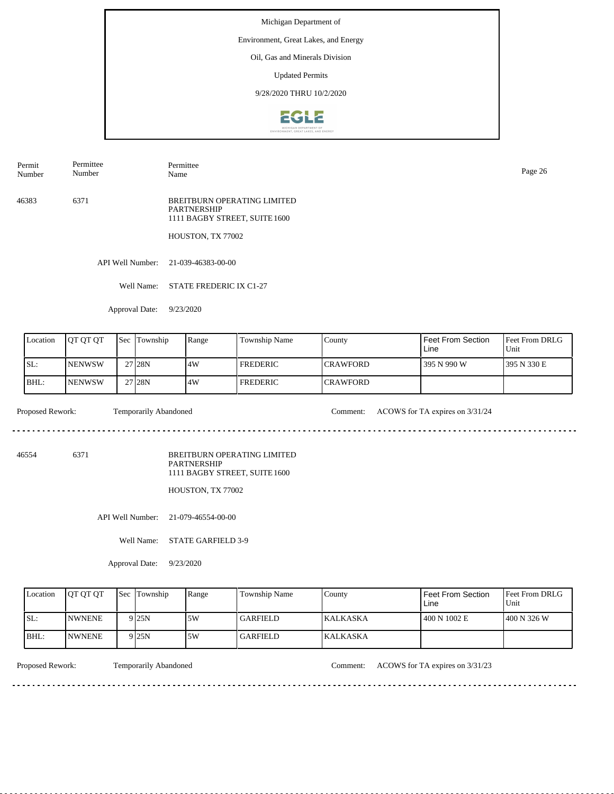#### Environment, Great Lakes, and Energy

Oil, Gas and Minerals Division

Updated Permits

9/28/2020 THRU 10/2/2020



Permit Number Permittee Number

Permittee Name Page 26

46383 6371 BREITBURN OPERATING LIMITED PARTNERSHIP 1111 BAGBY STREET, SUITE 1600

HOUSTON, TX 77002

API Well Number: 21-039-46383-00-00

Well Name: STATE FREDERIC IX C1-27

Approval Date: 9/23/2020

| Location | IOT OT OT      | $"$ Sec. | Township | Range | <b>Township Name</b> | County           | Feet From Section<br>Line | <b>IFeet From DRLG</b><br>Unit |
|----------|----------------|----------|----------|-------|----------------------|------------------|---------------------------|--------------------------------|
| SL:      | <b>INENWSW</b> |          | 27 28 N  | 14W   | <b>FREDERIC</b>      | <b>ICRAWFORD</b> | 395 N 990 W               | 1395 N 330 E                   |
| BHL:     | <b>INENWSW</b> |          | 27 28N   | 4W    | <b>FREDERIC</b>      | <b>CRAWFORD</b>  |                           |                                |

 $\frac{1}{2} \left( \frac{1}{2} \right) \left( \frac{1}{2} \right) \left( \frac{1}{2} \right) \left( \frac{1}{2} \right) \left( \frac{1}{2} \right) \left( \frac{1}{2} \right)$ 

Proposed Rework: Temporarily Abandoned Comment: ACOWS for TA expires on  $3/31/24$ 

<u>. . . . . . . . . . .</u>

46554 6371

BREITBURN OPERATING LIMITED PARTNERSHIP 1111 BAGBY STREET, SUITE 1600

HOUSTON, TX 77002

API Well Number: 21-079-46554-00-00

Well Name: STATE GARFIELD 3-9

Approval Date: 9/23/2020

| Location | <b>IOT OT OT</b> | <b>Sec Township</b> | Range | Township Name   | County           | Feet From Section<br>Line | <b>Feet From DRLG</b><br>Unit |
|----------|------------------|---------------------|-------|-----------------|------------------|---------------------------|-------------------------------|
| ISL:     | <b>INWNENE</b>   | 9 25 N              | .5W   | <b>GARFIELD</b> | <b>IKALKASKA</b> | 400 N 1002 E              | $1400 N$ 326 W                |
| $IBHL$ : | <b>INWNENE</b>   | 9 25 N              | .5W   | GARFIELD_       | <b>KALKASKA</b>  |                           |                               |

<u>. . . . . . . .</u>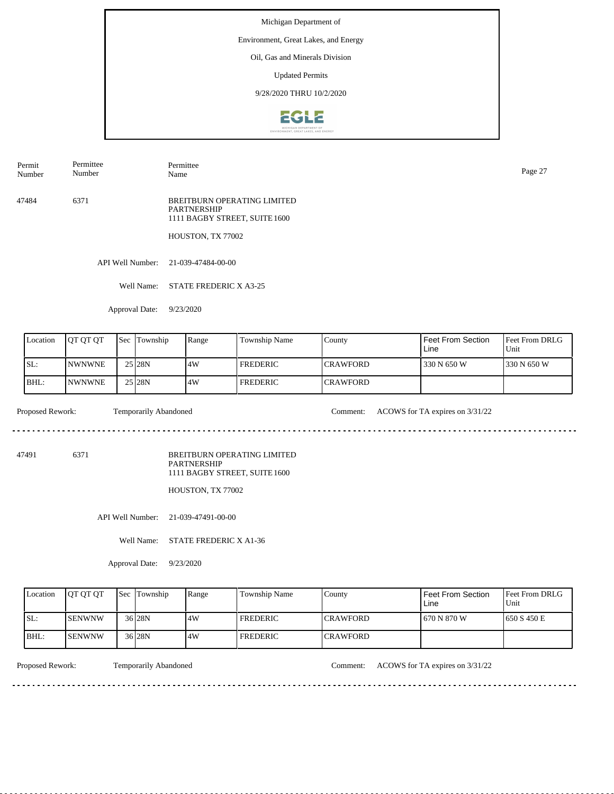#### Environment, Great Lakes, and Energy

Oil, Gas and Minerals Division

Updated Permits

9/28/2020 THRU 10/2/2020



Permit Number Permittee Number

Permittee Name Page 27

47484 6371 BREITBURN OPERATING LIMITED PARTNERSHIP 1111 BAGBY STREET, SUITE 1600

HOUSTON, TX 77002

API Well Number: 21-039-47484-00-00

Well Name: STATE FREDERIC X A3-25

Approval Date: 9/23/2020

| Location | IOT OT OT      | $"$ Sec. | Township | Range | <b>Township Name</b> | County           | Feet From Section<br>Line | <b>Feet From DRLG</b><br>Unit |
|----------|----------------|----------|----------|-------|----------------------|------------------|---------------------------|-------------------------------|
| SL:      | <b>INWNWNE</b> |          | 25 28N   | 14W   | <b>FREDERIC</b>      | <b>ICRAWFORD</b> | 330 N 650 W               | 1330 N 650 W                  |
| BHL:     | <b>INWNWNE</b> |          | 25 28N   | .4W   | <b>FREDERIC</b>      | <b>CRAWFORD</b>  |                           |                               |

 $\mathcal{L}^{\mathcal{L}}\left( \mathcal{L}^{\mathcal{L}}\left( \mathcal{L}^{\mathcal{L}}\right) \right) =\mathcal{L}^{\mathcal{L}}\left( \mathcal{L}^{\mathcal{L}}\right)$ 

Proposed Rework: Temporarily Abandoned Comment: ACOWS for TA expires on  $3/31/22$ 

<u>. . . . . . . . . . .</u>

47491 6371

BREITBURN OPERATING LIMITED PARTNERSHIP 1111 BAGBY STREET, SUITE 1600

HOUSTON, TX 77002

API Well Number: 21-039-47491-00-00

Well Name: STATE FREDERIC X A1-36

Approval Date: 9/23/2020

| Location | <b>OT OT OT</b> | <b>Sec Township</b> | Range | Township Name   | County           | Feet From Section<br>Line | <b>Feet From DRLG</b><br>Unit |
|----------|-----------------|---------------------|-------|-----------------|------------------|---------------------------|-------------------------------|
| ISL:     | <b>ISENWNW</b>  | 36 28N              | 4W    | <b>FREDERIC</b> | <b>ICRAWFORD</b> | 1 670 N 870 W             | 1650 S 450 E                  |
| BHL:     | <b>ISENWNW</b>  | 36 28N              | 4W    | <b>FREDERIC</b> | <b>ICRAWFORD</b> |                           |                               |

<u>. . . . . . . .</u>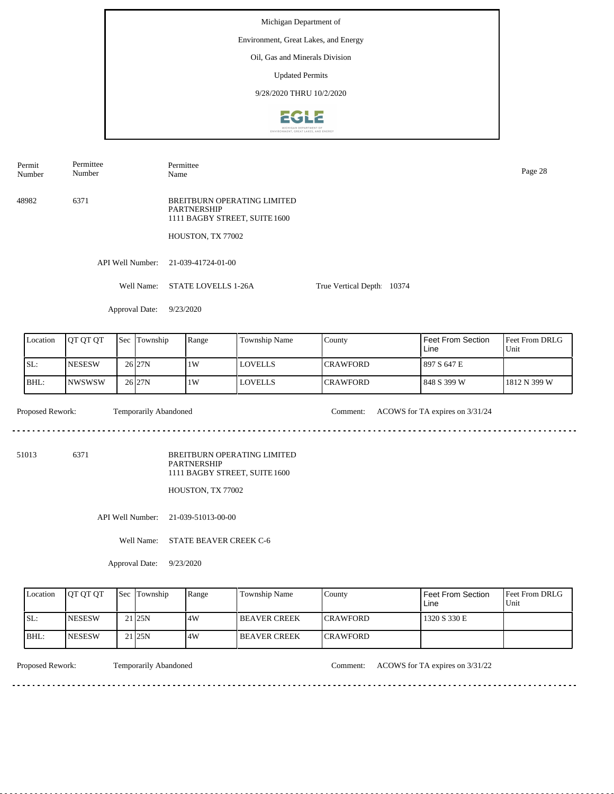Permit Number Permittee Number

Permittee Name Page 28

48982 6371 BREITBURN OPERATING LIMITED PARTNERSHIP 1111 BAGBY STREET, SUITE 1600

HOUSTON, TX 77002

API Well Number: 21-039-41724-01-00

Well Name: STATE LOVELLS 1-26A True Vertical Depth: 10374

Approval Date: 9/23/2020

| Location | <b>OT OT OT</b> | 'Sec | Township  | Range | Township Name  | Countv           | Feet From Section<br>Line | <b>Feet From DRLG</b><br>Unit |
|----------|-----------------|------|-----------|-------|----------------|------------------|---------------------------|-------------------------------|
| SL:      | <b>NESESW</b>   |      | $26$  27N | 1W    | <b>LOVELLS</b> | <b>ICRAWFORD</b> | 1897 S 647 E              |                               |
| IBHL:    | INWSWSW         |      | 26 27N    | 1W    | <b>LOVELLS</b> | <b>CRAWFORD</b>  | 1848 S 399 W              | 1812 N 399 W                  |

Proposed Rework: Temporarily Abandoned Comment: ACOWS for TA expires on  $3/31/24$ Temporarily Abandoned

 $- - - - - -$ 

. . . . . . . . . . . . . . . . . . .

<u>. . . . . . . . .</u>

51013 6371

BREITBURN OPERATING LIMITED PARTNERSHIP 1111 BAGBY STREET, SUITE 1600

HOUSTON, TX 77002

API Well Number: 21-039-51013-00-00

Well Name: STATE BEAVER CREEK C-6

Approval Date: 9/23/2020

| Location | <b>IOT OT OT</b> | <b>Sec Township</b> | Range | Township Name        | County           | Feet From Section<br>∟ine | <b>Feet From DRLG</b><br>Unit |
|----------|------------------|---------------------|-------|----------------------|------------------|---------------------------|-------------------------------|
| ISL:     | <b>INESESW</b>   | 21 <sub>125N</sub>  | 4W    | <b>IBEAVER CREEK</b> | <b>ICRAWFORD</b> | 1320 S 330 E              |                               |
| IBHL:    | <b>INESESW</b>   | 21 <sub>25N</sub>   | 4W    | <b>IBEAVER CREEK</b> | <b>ICRAWFORD</b> |                           |                               |

<u>. . . . . . . .</u>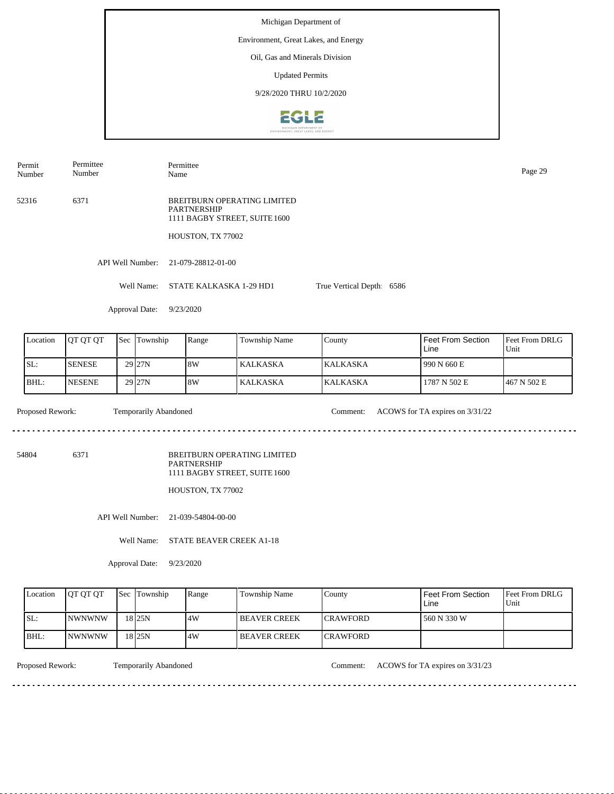Permit Number Permittee Number Permittee Name Page 29

52316 6371 BREITBURN OPERATING LIMITED PARTNERSHIP 1111 BAGBY STREET, SUITE 1600

HOUSTON, TX 77002

API Well Number: 21-079-28812-01-00

Well Name: STATE KALKASKA 1-29 HD1 True Vertical Depth: 6586

Approval Date: 9/23/2020

| Location | <b>JOT OT OT</b> | <b>Sec Township</b> | Range | Township Name | County           | Feet From Section<br>Line | <b>Feet From DRLG</b><br>Unit |
|----------|------------------|---------------------|-------|---------------|------------------|---------------------------|-------------------------------|
| SL:      | <b>SENESE</b>    | $29$ $27N$          | 18W   | l KALKASKA.   | <b>IKALKASKA</b> | 1990 N 660 E              |                               |
| IBHL:    | <b>NESENE</b>    | 29 <sub>27N</sub>   | 8W    | l KALKASKA    | <b>KALKASKA</b>  | 1787 N 502 E              | 1467 N 502 E                  |

Temporarily Abandoned

Proposed Rework: Temporarily Abandoned Comment: ACOWS for TA expires on  $3/31/22$ 

54804 6371

BREITBURN OPERATING LIMITED PARTNERSHIP 1111 BAGBY STREET, SUITE 1600

HOUSTON, TX 77002

API Well Number: 21-039-54804-00-00

Well Name: STATE BEAVER CREEK A1-18

Approval Date: 9/23/2020

| Location | <b>OT OT OT</b> | <b>Sec Township</b> | Range | Township Name       | Countv           | Feet From Section<br>Line | <b>Feet From DRLG</b><br>Unit |
|----------|-----------------|---------------------|-------|---------------------|------------------|---------------------------|-------------------------------|
| ISL:     | <b>INWNWNW</b>  | 18 <sub>25N</sub>   | 14W   | <b>BEAVER CREEK</b> | <b>ICRAWFORD</b> | 560 N 330 W               |                               |
| BHL:     | <b>INWNWNW</b>  | 18 <sub>25N</sub>   | ا 4W  | <b>BEAVER CREEK</b> | <b>ICRAWFORD</b> |                           |                               |

Proposed Rework: Temporarily Abandoned Comment: ACOWS for TA expires on  $3/31/23$ 

. . . . . . . . . . . . . . . . . . .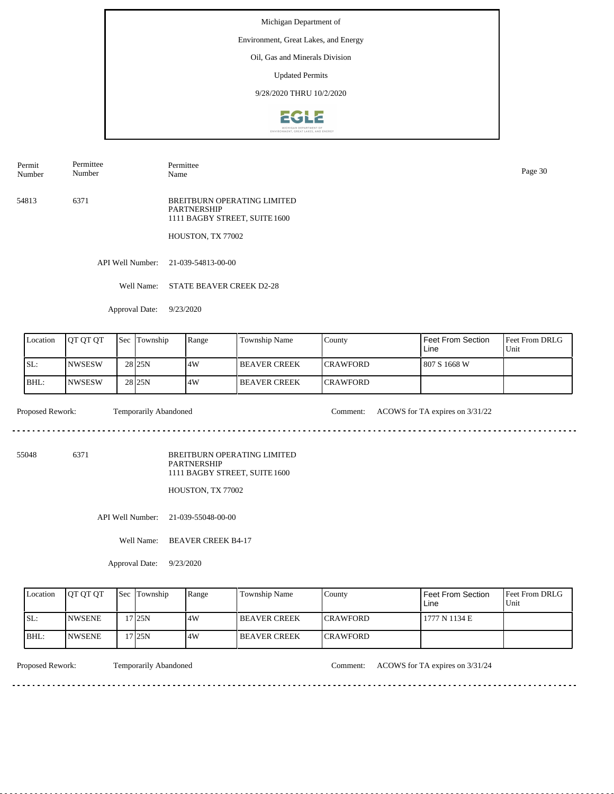# Environment, Great Lakes, and Energy

Oil, Gas and Minerals Division

Updated Permits

9/28/2020 THRU 10/2/2020



Name Page 30

Permit Number Permittee Number

54813 6371 BREITBURN OPERATING LIMITED PARTNERSHIP 1111 BAGBY STREET, SUITE 1600

HOUSTON, TX 77002

Permittee

API Well Number: 21-039-54813-00-00

Well Name: STATE BEAVER CREEK D2-28

Approval Date: 9/23/2020

| Location | <b>OT OT OT</b> | <b>Sec</b> | Township          | Range | Township Name       | County           | Feet From Section<br>Line | <b>IFeet From DRLG</b><br>Unit |
|----------|-----------------|------------|-------------------|-------|---------------------|------------------|---------------------------|--------------------------------|
| SL:      | INWSESW         |            | 28 <sub>25N</sub> | .4W   | I BEAVER CREEK      | <b>ICRAWFORD</b> | 807 S 1668 W              |                                |
| BHL:     | <b>NWSESW</b>   |            | 28 <sub>25N</sub> | 4W    | <b>BEAVER CREEK</b> | <b>ICRAWFORD</b> |                           |                                |

 $\frac{1}{2} \left( \frac{1}{2} \right) \left( \frac{1}{2} \right) \left( \frac{1}{2} \right) \left( \frac{1}{2} \right) \left( \frac{1}{2} \right) \left( \frac{1}{2} \right)$ 

Proposed Rework: Temporarily Abandoned Comment: ACOWS for TA expires on  $3/31/22$ 

<u>. . . . . . . . . . .</u>

55048 6371

BREITBURN OPERATING LIMITED PARTNERSHIP 1111 BAGBY STREET, SUITE 1600

HOUSTON, TX 77002

API Well Number: 21-039-55048-00-00

Well Name: BEAVER CREEK B4-17

Approval Date: 9/23/2020

| Location | <b>IOT OT OT</b> | <b>Sec Township</b> | Range | Township Name        | County           | Feet From Section<br>Line | <b>Feet From DRLG</b><br>Unit |
|----------|------------------|---------------------|-------|----------------------|------------------|---------------------------|-------------------------------|
| ISL:     | <b>INWSENE</b>   | 7 25N               | 4W    | <b>IBEAVER CREEK</b> | <b>ICRAWFORD</b> | 1777 N 1134 E             |                               |
| BHL:     | <b>INWSENE</b>   | 7125N               | 4W    | <b>IBEAVER CREEK</b> | <b>ICRAWFORD</b> |                           |                               |

<u>. . . . . . . .</u>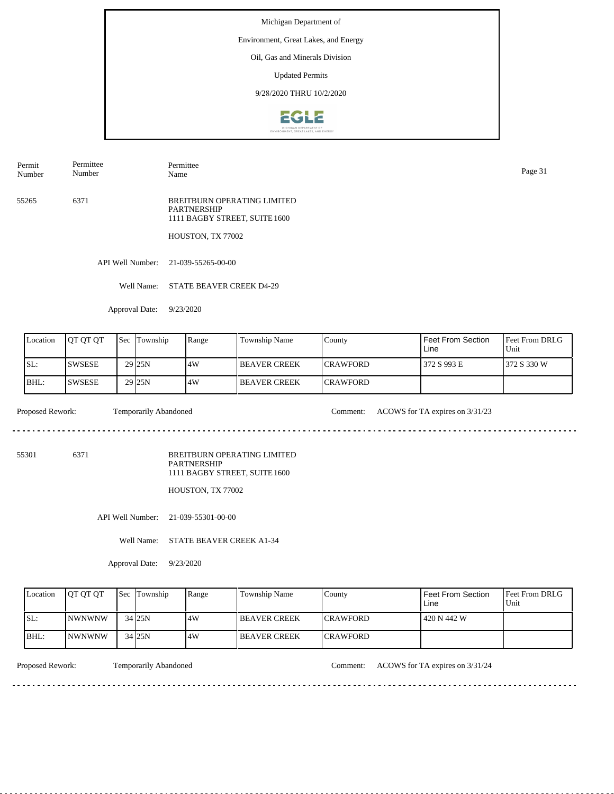# Environment, Great Lakes, and Energy

Oil, Gas and Minerals Division

Updated Permits

9/28/2020 THRU 10/2/2020



Permit Number Permittee Number

Name Page 31

Permittee

55265 6371 BREITBURN OPERATING LIMITED PARTNERSHIP 1111 BAGBY STREET, SUITE 1600

HOUSTON, TX 77002

API Well Number: 21-039-55265-00-00

Well Name: STATE BEAVER CREEK D4-29

Approval Date: 9/23/2020

| Location | <b>OT OT OT</b> | <b>Sec</b> | Township           | Range | Township Name         | County           | Feet From Section<br>Line | <b>IFeet From DRLG</b><br>Unit |
|----------|-----------------|------------|--------------------|-------|-----------------------|------------------|---------------------------|--------------------------------|
| SL:      | <b>SWSESE</b>   |            | 29 <sub>125N</sub> | .4W   | <b>I BEAVER CREEK</b> | <b>ICRAWFORD</b> | 372 S 993 E               | 372 S 330 W                    |
| BHL:     | <b>SWSESE</b>   |            | 29 <sub>25N</sub>  | 4W    | <b>BEAVER CREEK</b>   | <b>ICRAWFORD</b> |                           |                                |

 $\frac{1}{2} \left( \frac{1}{2} \right) \left( \frac{1}{2} \right) \left( \frac{1}{2} \right) \left( \frac{1}{2} \right) \left( \frac{1}{2} \right) \left( \frac{1}{2} \right)$ 

Proposed Rework: Temporarily Abandoned Comment: ACOWS for TA expires on  $3/31/23$ 

<u>. . . . . . . . . . .</u>

55301 6371

BREITBURN OPERATING LIMITED PARTNERSHIP 1111 BAGBY STREET, SUITE 1600

HOUSTON, TX 77002

API Well Number: 21-039-55301-00-00

Well Name: STATE BEAVER CREEK A1-34

Approval Date: 9/23/2020

| Location | <b>IOT OT OT</b> | <b>Sec Township</b> | Range | Township Name        | County           | Feet From Section<br>∟ine | <b>Feet From DRLG</b><br>Unit |
|----------|------------------|---------------------|-------|----------------------|------------------|---------------------------|-------------------------------|
| ISL:     | <b>INWNWNW</b>   | $34$ 25N            | 4W    | <b>IBEAVER CREEK</b> | <b>ICRAWFORD</b> | 420 N 442 W               |                               |
| BHL:     | <i>INWNWNW</i>   | 34 25N              | 4W    | <b>IBEAVER CREEK</b> | <b>ICRAWFORD</b> |                           |                               |

<u>. . . . . . . .</u>